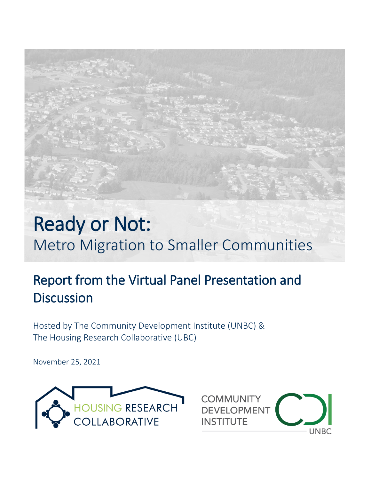# Ready or Not: Metro Migration to Smaller Communities

# Report from the Virtual Panel Presentation and **Discussion**

Hosted by The Community Development Institute (UNBC) & The Housing Research Collaborative (UBC)

November 25, 2021



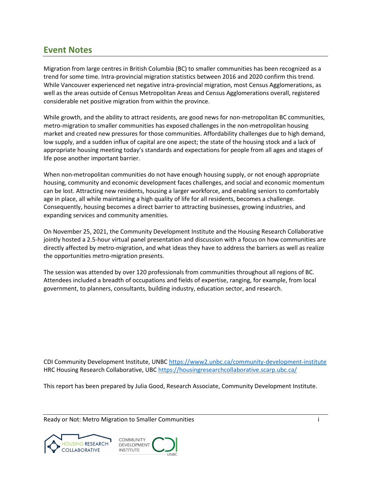# <span id="page-1-0"></span>**Event Notes**

Migration from large centres in British Columbia (BC) to smaller communities has been recognized as a trend for some time. Intra-provincial migration statistics between 2016 and 2020 confirm this trend. While Vancouver experienced net negative intra-provincial migration, most Census Agglomerations, as well as the areas outside of Census Metropolitan Areas and Census Agglomerations overall, registered considerable net positive migration from within the province.

While growth, and the ability to attract residents, are good news for non-metropolitan BC communities, metro-migration to smaller communities has exposed challenges in the non-metropolitan housing market and created new pressures for those communities. Affordability challenges due to high demand, low supply, and a sudden influx of capital are one aspect; the state of the housing stock and a lack of appropriate housing meeting today's standards and expectations for people from all ages and stages of life pose another important barrier.

When non-metropolitan communities do not have enough housing supply, or not enough appropriate housing, community and economic development faces challenges, and social and economic momentum can be lost. Attracting new residents, housing a larger workforce, and enabling seniors to comfortably age in place, all while maintaining a high quality of life for all residents, becomes a challenge. Consequently, housing becomes a direct barrier to attracting businesses, growing industries, and expanding services and community amenities.

On November 25, 2021, the Community Development Institute and the Housing Research Collaborative jointly hosted a 2.5-hour virtual panel presentation and discussion with a focus on how communities are directly affected by metro-migration, and what ideas they have to address the barriers as well as realize the opportunities metro-migration presents.

The session was attended by over 120 professionals from communities throughout all regions of BC. Attendees included a breadth of occupations and fields of expertise, ranging, for example, from local government, to planners, consultants, building industry, education sector, and research.

CDI Community Development Institute, UNBC<https://www2.unbc.ca/community-development-institute> HRC Housing Research Collaborative, UBC<https://housingresearchcollaborative.scarp.ubc.ca/>

This report has been prepared by Julia Good, Research Associate, Community Development Institute.



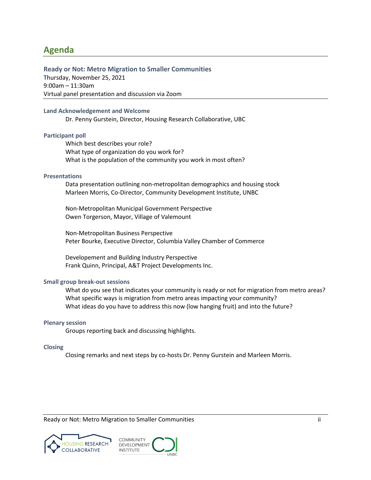# <span id="page-2-0"></span>**Agenda**

#### **Ready or Not: Metro Migration to Smaller Communities**

Thursday, November 25, 2021 9:00am – 11:30am Virtual panel presentation and discussion via Zoom

#### **Land Acknowledgement and Welcome**

Dr. Penny Gurstein, Director, Housing Research Collaborative, UBC

#### **Participant poll**

Which best describes your role? What type of organization do you work for? What is the population of the community you work in most often?

#### **Presentations**

Data presentation outlining non-metropolitan demographics and housing stock Marleen Morris, Co-Director, Community Development Institute, UNBC

Non-Metropolitan Municipal Government Perspective Owen Torgerson, Mayor, Village of Valemount

Non-Metropolitan Business Perspective Peter Bourke, Executive Director, Columbia Valley Chamber of Commerce

Developement and Building Industry Perspective Frank Quinn, Principal, A&T Project Developments Inc.

#### **Small group break-out sessions**

What do you see that indicates your community is ready or not for migration from metro areas? What specific ways is migration from metro areas impacting your community? What ideas do you have to address this now (low hanging fruit) and into the future?

#### **Plenary session**

Groups reporting back and discussing highlights.

#### **Closing**

Closing remarks and next steps by co-hosts Dr. Penny Gurstein and Marleen Morris.



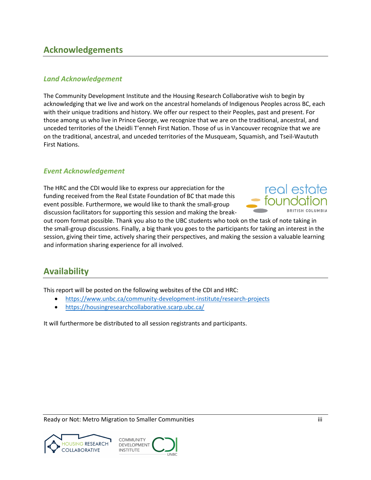# <span id="page-3-0"></span>**Acknowledgements**

# <span id="page-3-1"></span>*Land Acknowledgement*

The Community Development Institute and the Housing Research Collaborative wish to begin by acknowledging that we live and work on the ancestral homelands of Indigenous Peoples across BC, each with their unique traditions and history. We offer our respect to their Peoples, past and present. For those among us who live in Prince George, we recognize that we are on the traditional, ancestral, and unceded territories of the Lheidli T'enneh First Nation. Those of us in Vancouver recognize that we are on the traditional, ancestral, and unceded territories of the Musqueam, Squamish, and Tseil-Waututh First Nations.

# <span id="page-3-2"></span>*Event Acknowledgement*

The HRC and the CDI would like to express our appreciation for the funding received from the Real Estate Foundation of BC that made this event possible. Furthermore, we would like to thank the small-group discussion facilitators for supporting this session and making the break-



out room format possible. Thank you also to the UBC students who took on the task of note taking in the small-group discussions. Finally, a big thank you goes to the participants for taking an interest in the session, giving their time, actively sharing their perspectives, and making the session a valuable learning and information sharing experience for all involved.

# <span id="page-3-3"></span>**Availability**

This report will be posted on the following websites of the CDI and HRC:

- <https://www.unbc.ca/community-development-institute/research-projects>
- <https://housingresearchcollaborative.scarp.ubc.ca/>

It will furthermore be distributed to all session registrants and participants.

Ready or Not: Metro Migration to Smaller Communities in the state of the state iii



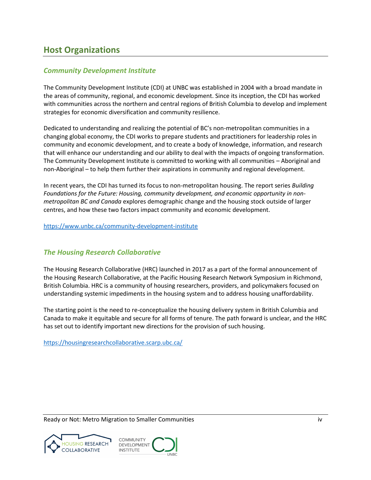# <span id="page-4-0"></span>**Host Organizations**

# <span id="page-4-1"></span>*Community Development Institute*

The Community Development Institute (CDI) at UNBC was established in 2004 with a broad mandate in the areas of community, regional, and economic development. Since its inception, the CDI has worked with communities across the northern and central regions of British Columbia to develop and implement strategies for economic diversification and community resilience.

Dedicated to understanding and realizing the potential of BC's non-metropolitan communities in a changing global economy, the CDI works to prepare students and practitioners for leadership roles in community and economic development, and to create a body of knowledge, information, and research that will enhance our understanding and our ability to deal with the impacts of ongoing transformation. The Community Development Institute is committed to working with all communities – Aboriginal and non-Aboriginal – to help them further their aspirations in community and regional development.

In recent years, the CDI has turned its focus to non-metropolitan housing. The report series *Building Foundations for the Future: Housing, community development, and economic opportunity in nonmetropolitan BC and Canada* explores demographic change and the housing stock outside of larger centres, and how these two factors impact community and economic development.

<https://www.unbc.ca/community-development-institute>

# <span id="page-4-2"></span>*The Housing Research Collaborative*

The Housing Research Collaborative (HRC) launched in 2017 as a part of the formal announcement of the Housing Research Collaborative, at the Pacific Housing Research Network Symposium in Richmond, British Columbia. HRC is a community of housing researchers, providers, and policymakers focused on understanding systemic impediments in the housing system and to address housing unaffordability.

The starting point is the need to re-conceptualize the housing delivery system in British Columbia and Canada to make it equitable and secure for all forms of tenure. The path forward is unclear, and the HRC has set out to identify important new directions for the provision of such housing.

<https://housingresearchcollaborative.scarp.ubc.ca/>



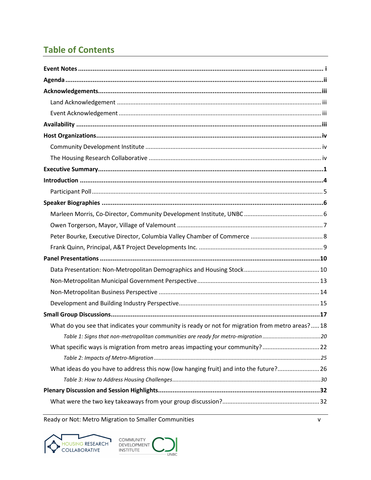# **Table of Contents**

| What do you see that indicates your community is ready or not for migration from metro areas?18 |
|-------------------------------------------------------------------------------------------------|
| Table 1: Signs that non-metropolitan communities are ready for metro-migration 20               |
| What specific ways is migration from metro areas impacting your community?22                    |
|                                                                                                 |
| What ideas do you have to address this now (low hanging fruit) and into the future? 26          |
|                                                                                                 |
|                                                                                                 |
|                                                                                                 |



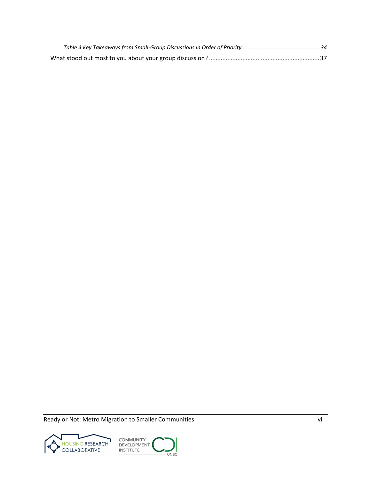Ready or Not: Metro Migration to Smaller Communities views and the Views of Views of Views and Views of Views of Views and Views of Views of Views of Views of Views of Views of Views of Views of Views of Views of Views of



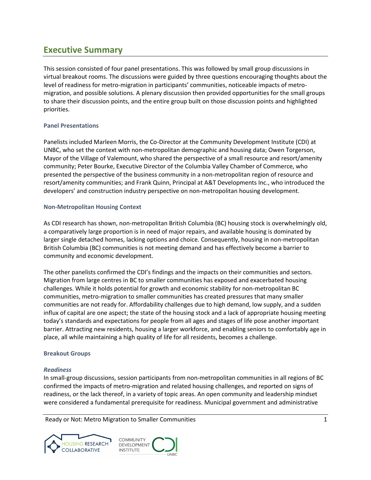# <span id="page-7-0"></span>**Executive Summary**

This session consisted of four panel presentations. This was followed by small group discussions in virtual breakout rooms. The discussions were guided by three questions encouraging thoughts about the level of readiness for metro-migration in participants' communities, noticeable impacts of metromigration, and possible solutions. A plenary discussion then provided opportunities for the small groups to share their discussion points, and the entire group built on those discussion points and highlighted priorities.

## **Panel Presentations**

Panelists included Marleen Morris, the Co-Director at the Community Development Institute (CDI) at UNBC, who set the context with non-metropolitan demographic and housing data; Owen Torgerson, Mayor of the Village of Valemount, who shared the perspective of a small resource and resort/amenity community; Peter Bourke, Executive Director of the Columbia Valley Chamber of Commerce, who presented the perspective of the business community in a non-metropolitan region of resource and resort/amenity communities; and Frank Quinn, Principal at A&T Developments Inc., who introduced the developers' and construction industry perspective on non-metropolitan housing development.

## **Non-Metropolitan Housing Context**

As CDI research has shown, non-metropolitan British Columbia (BC) housing stock is overwhelmingly old, a comparatively large proportion is in need of major repairs, and available housing is dominated by larger single detached homes, lacking options and choice. Consequently, housing in non-metropolitan British Columbia (BC) communities is not meeting demand and has effectively become a barrier to community and economic development.

The other panelists confirmed the CDI's findings and the impacts on their communities and sectors. Migration from large centres in BC to smaller communities has exposed and exacerbated housing challenges. While it holds potential for growth and economic stability for non-metropolitan BC communities, metro-migration to smaller communities has created pressures that many smaller communities are not ready for. Affordability challenges due to high demand, low supply, and a sudden influx of capital are one aspect; the state of the housing stock and a lack of appropriate housing meeting today's standards and expectations for people from all ages and stages of life pose another important barrier. Attracting new residents, housing a larger workforce, and enabling seniors to comfortably age in place, all while maintaining a high quality of life for all residents, becomes a challenge.

## **Breakout Groups**

## *Readiness*

In small-group discussions, session participants from non-metropolitan communities in all regions of BC confirmed the impacts of metro-migration and related housing challenges, and reported on signs of readiness, or the lack thereof, in a variety of topic areas. An open community and leadership mindset were considered a fundamental prerequisite for readiness. Municipal government and administrative

Ready or Not: Metro Migration to Smaller Communities 1 and 1 and 2 and 2 and 2 and 2 and 2 and 2 and 2 and 2 and 2 and 2 and 2 and 2 and 2 and 2 and 2 and 2 and 2 and 2 and 2 and 2 and 2 and 2 and 2 and 2 and 2 and 2 and 2



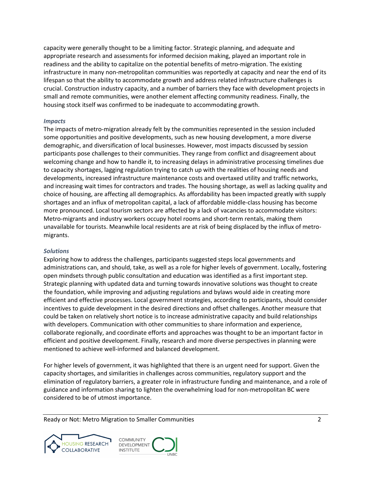capacity were generally thought to be a limiting factor. Strategic planning, and adequate and appropriate research and assessments for informed decision making, played an important role in readiness and the ability to capitalize on the potential benefits of metro-migration. The existing infrastructure in many non-metropolitan communities was reportedly at capacity and near the end of its lifespan so that the ability to accommodate growth and address related infrastructure challenges is crucial. Construction industry capacity, and a number of barriers they face with development projects in small and remote communities, were another element affecting community readiness. Finally, the housing stock itself was confirmed to be inadequate to accommodating growth.

#### *Impacts*

The impacts of metro-migration already felt by the communities represented in the session included some opportunities and positive developments, such as new housing development, a more diverse demographic, and diversification of local businesses. However, most impacts discussed by session participants pose challenges to their communities. They range from conflict and disagreement about welcoming change and how to handle it, to increasing delays in administrative processing timelines due to capacity shortages, lagging regulation trying to catch up with the realities of housing needs and developments, increased infrastructure maintenance costs and overtaxed utility and traffic networks, and increasing wait times for contractors and trades. The housing shortage, as well as lacking quality and choice of housing, are affecting all demographics. As affordability has been impacted greatly with supply shortages and an influx of metropolitan capital, a lack of affordable middle-class housing has become more pronounced. Local tourism sectors are affected by a lack of vacancies to accommodate visitors: Metro-migrants and industry workers occupy hotel rooms and short-term rentals, making them unavailable for tourists. Meanwhile local residents are at risk of being displaced by the influx of metromigrants.

## *Solutions*

Exploring how to address the challenges, participants suggested steps local governments and administrations can, and should, take, as well as a role for higher levels of government. Locally, fostering open mindsets through public consultation and education was identified as a first important step. Strategic planning with updated data and turning towards innovative solutions was thought to create the foundation, while improving and adjusting regulations and bylaws would aide in creating more efficient and effective processes. Local government strategies, according to participants, should consider incentives to guide development in the desired directions and offset challenges. Another measure that could be taken on relatively short notice is to increase administrative capacity and build relationships with developers. Communication with other communities to share information and experience, collaborate regionally, and coordinate efforts and approaches was thought to be an important factor in efficient and positive development. Finally, research and more diverse perspectives in planning were mentioned to achieve well-informed and balanced development.

For higher levels of government, it was highlighted that there is an urgent need for support. Given the capacity shortages, and similarities in challenges across communities, regulatory support and the elimination of regulatory barriers, a greater role in infrastructure funding and maintenance, and a role of guidance and information sharing to lighten the overwhelming load for non-metropolitan BC were considered to be of utmost importance.



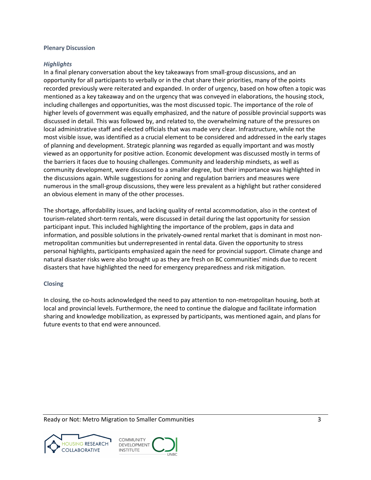#### **Plenary Discussion**

#### *Highlights*

In a final plenary conversation about the key takeaways from small-group discussions, and an opportunity for all participants to verbally or in the chat share their priorities, many of the points recorded previously were reiterated and expanded. In order of urgency, based on how often a topic was mentioned as a key takeaway and on the urgency that was conveyed in elaborations, the housing stock, including challenges and opportunities, was the most discussed topic. The importance of the role of higher levels of government was equally emphasized, and the nature of possible provincial supports was discussed in detail. This was followed by, and related to, the overwhelming nature of the pressures on local administrative staff and elected officials that was made very clear. Infrastructure, while not the most visible issue, was identified as a crucial element to be considered and addressed in the early stages of planning and development. Strategic planning was regarded as equally important and was mostly viewed as an opportunity for positive action. Economic development was discussed mostly in terms of the barriers it faces due to housing challenges. Community and leadership mindsets, as well as community development, were discussed to a smaller degree, but their importance was highlighted in the discussions again. While suggestions for zoning and regulation barriers and measures were numerous in the small-group discussions, they were less prevalent as a highlight but rather considered an obvious element in many of the other processes.

The shortage, affordability issues, and lacking quality of rental accommodation, also in the context of tourism-related short-term rentals, were discussed in detail during the last opportunity for session participant input. This included highlighting the importance of the problem, gaps in data and information, and possible solutions in the privately-owned rental market that is dominant in most nonmetropolitan communities but underrepresented in rental data. Given the opportunity to stress personal highlights, participants emphasized again the need for provincial support. Climate change and natural disaster risks were also brought up as they are fresh on BC communities' minds due to recent disasters that have highlighted the need for emergency preparedness and risk mitigation.

## **Closing**

In closing, the co-hosts acknowledged the need to pay attention to non-metropolitan housing, both at local and provincial levels. Furthermore, the need to continue the dialogue and facilitate information sharing and knowledge mobilization, as expressed by participants, was mentioned again, and plans for future events to that end were announced.



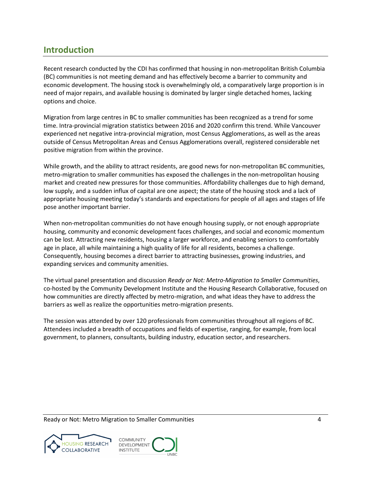# <span id="page-10-0"></span>**Introduction**

Recent research conducted by the CDI has confirmed that housing in non-metropolitan British Columbia (BC) communities is not meeting demand and has effectively become a barrier to community and economic development. The housing stock is overwhelmingly old, a comparatively large proportion is in need of major repairs, and available housing is dominated by larger single detached homes, lacking options and choice.

Migration from large centres in BC to smaller communities has been recognized as a trend for some time. Intra-provincial migration statistics between 2016 and 2020 confirm this trend. While Vancouver experienced net negative intra-provincial migration, most Census Agglomerations, as well as the areas outside of Census Metropolitan Areas and Census Agglomerations overall, registered considerable net positive migration from within the province.

While growth, and the ability to attract residents, are good news for non-metropolitan BC communities, metro-migration to smaller communities has exposed the challenges in the non-metropolitan housing market and created new pressures for those communities. Affordability challenges due to high demand, low supply, and a sudden influx of capital are one aspect; the state of the housing stock and a lack of appropriate housing meeting today's standards and expectations for people of all ages and stages of life pose another important barrier.

When non-metropolitan communities do not have enough housing supply, or not enough appropriate housing, community and economic development faces challenges, and social and economic momentum can be lost. Attracting new residents, housing a larger workforce, and enabling seniors to comfortably age in place, all while maintaining a high quality of life for all residents, becomes a challenge. Consequently, housing becomes a direct barrier to attracting businesses, growing industries, and expanding services and community amenities.

The virtual panel presentation and discussion *Ready or Not: Metro-Migration to Smaller Communities*, co-hosted by the Community Development Institute and the Housing Research Collaborative, focused on how communities are directly affected by metro-migration, and what ideas they have to address the barriers as well as realize the opportunities metro-migration presents.

The session was attended by over 120 professionals from communities throughout all regions of BC. Attendees included a breadth of occupations and fields of expertise, ranging, for example, from local government, to planners, consultants, building industry, education sector, and researchers.



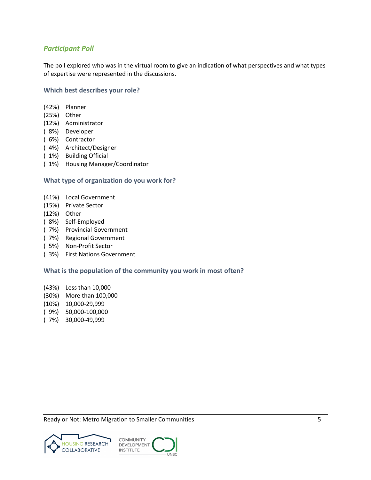# <span id="page-11-0"></span>*Participant Poll*

The poll explored who was in the virtual room to give an indication of what perspectives and what types of expertise were represented in the discussions.

## **Which best describes your role?**

- (42%) Planner
- (25%) Other
- (12%) Administrator
- ( 8%) Developer
- ( 6%) Contractor
- ( 4%) Architect/Designer
- ( 1%) Building Official
- ( 1%) Housing Manager/Coordinator

#### **What type of organization do you work for?**

- (41%) Local Government
- (15%) Private Sector
- (12%) Other
- ( 8%) Self-Employed
- ( 7%) Provincial Government
- ( 7%) Regional Government
- ( 5%) Non-Profit Sector
- ( 3%) First Nations Government

## **What is the population of the community you work in most often?**

- (43%) Less than 10,000
- (30%) More than 100,000
- (10%) 10,000-29,999
- ( 9%) 50,000-100,000
- ( 7%) 30,000-49,999



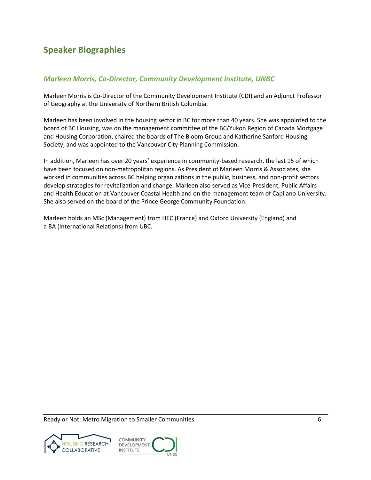# <span id="page-12-1"></span><span id="page-12-0"></span>*Marleen Morris, Co-Director, Community Development Institute, UNBC*

Marleen Morris is Co-Director of the Community Development Institute (CDI) and an Adjunct Professor of Geography at the University of Northern British Columbia.

Marleen has been involved in the housing sector in BC for more than 40 years. She was appointed to the board of BC Housing, was on the management committee of the BC/Yukon Region of Canada Mortgage and Housing Corporation, chaired the boards of The Bloom Group and Katherine Sanford Housing Society, and was appointed to the Vancouver City Planning Commission.

In addition, Marleen has over 20 years' experience in community-based research, the last 15 of which have been focused on non-metropolitan regions. As President of Marleen Morris & Associates, she worked in communities across BC helping organizations in the public, business, and non-profit sectors develop strategies for revitalization and change. Marleen also served as Vice-President, Public Affairs and Health Education at Vancouver Coastal Health and on the management team of Capilano University. She also served on the board of the Prince George Community Foundation.

Marleen holds an MSc (Management) from HEC (France) and Oxford University (England) and a BA (International Relations) from UBC.



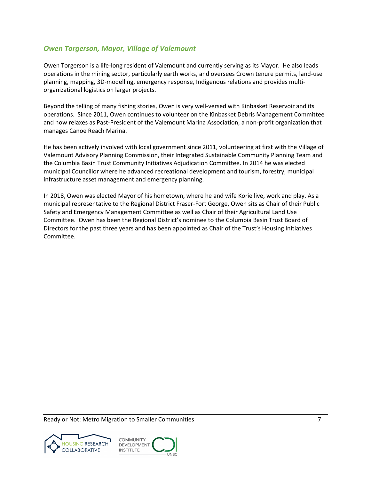# <span id="page-13-0"></span>*Owen Torgerson, Mayor, Village of Valemount*

Owen Torgerson is a life-long resident of Valemount and currently serving as its Mayor. He also leads operations in the mining sector, particularly earth works, and oversees Crown tenure permits, land-use planning, mapping, 3D-modelling, emergency response, Indigenous relations and provides multiorganizational logistics on larger projects.

Beyond the telling of many fishing stories, Owen is very well-versed with Kinbasket Reservoir and its operations. Since 2011, Owen continues to volunteer on the Kinbasket Debris Management Committee and now relaxes as Past-President of the Valemount Marina Association, a non-profit organization that manages Canoe Reach Marina.

He has been actively involved with local government since 2011, volunteering at first with the Village of Valemount Advisory Planning Commission, their Integrated Sustainable Community Planning Team and the Columbia Basin Trust Community Initiatives Adjudication Committee. In 2014 he was elected municipal Councillor where he advanced recreational development and tourism, forestry, municipal infrastructure asset management and emergency planning.

In 2018, Owen was elected Mayor of his hometown, where he and wife Korie live, work and play. As a municipal representative to the Regional District Fraser-Fort George, Owen sits as Chair of their Public Safety and Emergency Management Committee as well as Chair of their Agricultural Land Use Committee. Owen has been the Regional District's nominee to the Columbia Basin Trust Board of Directors for the past three years and has been appointed as Chair of the Trust's Housing Initiatives Committee.

Ready or Not: Metro Migration to Smaller Communities **7** and *7* and *7* and *7* and *7* and *7* and *7* and *7* and *7* and *7* and *7* and *7* and *7* and *7* and *7* and *7* and *7* and *7* and *7* and *7* and *7* and



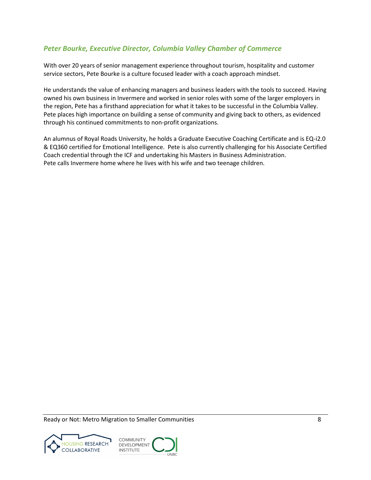# <span id="page-14-0"></span>*Peter Bourke, Executive Director, Columbia Valley Chamber of Commerce*

With over 20 years of senior management experience throughout tourism, hospitality and customer service sectors, Pete Bourke is a culture focused leader with a coach approach mindset.

He understands the value of enhancing managers and business leaders with the tools to succeed. Having owned his own business in Invermere and worked in senior roles with some of the larger employers in the region, Pete has a firsthand appreciation for what it takes to be successful in the Columbia Valley. Pete places high importance on building a sense of community and giving back to others, as evidenced through his continued commitments to non-profit organizations.

An alumnus of Royal Roads University, he holds a Graduate Executive Coaching Certificate and is EQ-i2.0 & EQ360 certified for Emotional Intelligence. Pete is also currently challenging for his Associate Certified Coach credential through the ICF and undertaking his Masters in Business Administration. Pete calls Invermere home where he lives with his wife and two teenage children.



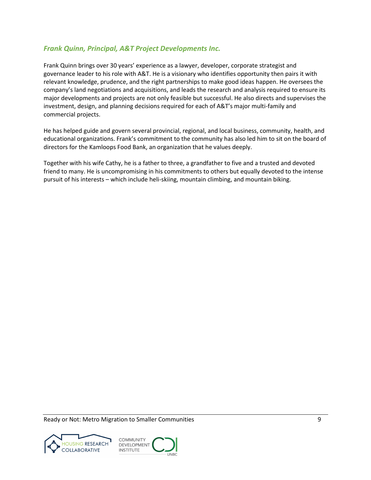# <span id="page-15-0"></span>*Frank Quinn, Principal, A&T Project Developments Inc.*

Frank Quinn brings over 30 years' experience as a lawyer, developer, corporate strategist and governance leader to his role with A&T. He is a visionary who identifies opportunity then pairs it with relevant knowledge, prudence, and the right partnerships to make good ideas happen. He oversees the company's land negotiations and acquisitions, and leads the research and analysis required to ensure its major developments and projects are not only feasible but successful. He also directs and supervises the investment, design, and planning decisions required for each of A&T's major multi-family and commercial projects.

He has helped guide and govern several provincial, regional, and local business, community, health, and educational organizations. Frank's commitment to the community has also led him to sit on the board of directors for the Kamloops Food Bank, an organization that he values deeply.

Together with his wife Cathy, he is a father to three, a grandfather to five and a trusted and devoted friend to many. He is uncompromising in his commitments to others but equally devoted to the intense pursuit of his interests – which include heli-skiing, mountain climbing, and mountain biking.

Ready or Not: Metro Migration to Smaller Communities **Property and Secure 2018** 9



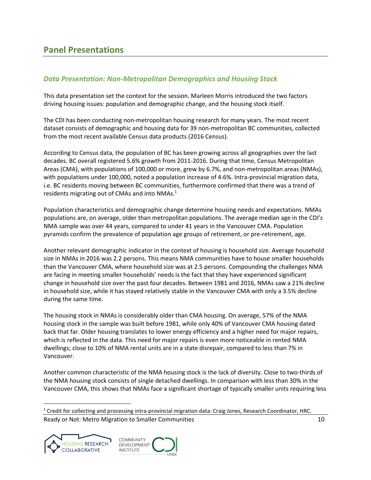# <span id="page-16-0"></span>**Panel Presentations**

# <span id="page-16-1"></span>*Data Presentation: Non-Metropolitan Demographics and Housing Stock*

This data presentation set the context for the session. Marleen Morris introduced the two factors driving housing issues: population and demographic change, and the housing stock itself.

The CDI has been conducting non-metropolitan housing research for many years. The most recent dataset consists of demographic and housing data for 39 non-metropolitan BC communities, collected from the most recent available Census data products (2016 Census).

According to Census data, the population of BC has been growing across all geographies over the last decades. BC overall registered 5.6% growth from 2011-2016. During that time, Census Metropolitan Areas (CMA), with populations of 100,000 or more, grew by 6.7%, and non-metropolitan areas (NMAs), with populations under 100,000, noted a population increase of 4.6%. Intra-provincial migration data, i.e. BC residents moving between BC communities, furthermore confirmed that there was a trend of residents migrating out of CMAs and into NMAs.<sup>1</sup>

Population characteristics and demographic change determine housing needs and expectations. NMAs populations are, on average, older than metropolitan populations. The average median age in the CDI's NMA sample was over 44 years, compared to under 41 years in the Vancouver CMA. Population pyramids confirm the prevalence of population age groups of retirement, or pre-retirement, age.

Another relevant demographic indicator in the context of housing is household size. Average household size in NMAs in 2016 was 2.2 persons. This means NMA communities have to house smaller households than the Vancouver CMA, where household size was at 2.5 persons. Compounding the challenges NMA are facing in meeting smaller households' needs is the fact that they have experienced significant change in household size over the past four decades. Between 1981 and 2016, NMAs saw a 21% decline in household size, while it has stayed relatively stable in the Vancouver CMA with only a 3.5% decline during the same time.

The housing stock in NMAs is considerably older than CMA housing. On average, 57% of the NMA housing stock in the sample was built before 1981, while only 40% of Vancouver CMA housing dated back that far. Older housing translates to lower energy efficiency and a higher need for major repairs, which is reflected in the data. This need for major repairs is even more noticeable in rented NMA dwellings; close to 10% of NMA rental units are in a state disrepair, compared to less than 7% in Vancouver.

Another common characteristic of the NMA housing stock is the lack of diversity. Close to two-thirds of the NMA housing stock consists of single detached dwellings. In comparison with less than 30% in the Vancouver CMA, this shows that NMAs face a significant shortage of typically smaller units requiring less

Ready or Not: Metro Migration to Smaller Communities 10 and 10 and 10 and 10 and 10 and 10 and 10 and 10 and 10  $1$  Credit for collecting and processing intra-provincial migration data: Craig Jones, Research Coordinator, HRC.



l

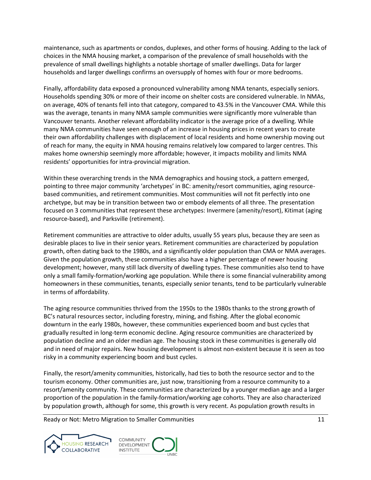maintenance, such as apartments or condos, duplexes, and other forms of housing. Adding to the lack of choices in the NMA housing market, a comparison of the prevalence of small households with the prevalence of small dwellings highlights a notable shortage of smaller dwellings. Data for larger households and larger dwellings confirms an oversupply of homes with four or more bedrooms.

Finally, affordability data exposed a pronounced vulnerability among NMA tenants, especially seniors. Households spending 30% or more of their income on shelter costs are considered vulnerable. In NMAs, on average, 40% of tenants fell into that category, compared to 43.5% in the Vancouver CMA. While this was the average, tenants in many NMA sample communities were significantly more vulnerable than Vancouver tenants. Another relevant affordability indicator is the average price of a dwelling. While many NMA communities have seen enough of an increase in housing prices in recent years to create their own affordability challenges with displacement of local residents and home ownership moving out of reach for many, the equity in NMA housing remains relatively low compared to larger centres. This makes home ownership seemingly more affordable; however, it impacts mobility and limits NMA residents' opportunities for intra-provincial migration.

Within these overarching trends in the NMA demographics and housing stock, a pattern emerged, pointing to three major community 'archetypes' in BC: amenity/resort communities, aging resourcebased communities, and retirement communities. Most communities will not fit perfectly into one archetype, but may be in transition between two or embody elements of all three. The presentation focused on 3 communities that represent these archetypes: Invermere (amenity/resort), Kitimat (aging resource-based), and Parksville (retirement).

Retirement communities are attractive to older adults, usually 55 years plus, because they are seen as desirable places to live in their senior years. Retirement communities are characterized by population growth, often dating back to the 1980s, and a significantly older population than CMA or NMA averages. Given the population growth, these communities also have a higher percentage of newer housing development; however, many still lack diversity of dwelling types. These communities also tend to have only a small family-formation/working age population. While there is some financial vulnerability among homeowners in these communities, tenants, especially senior tenants, tend to be particularly vulnerable in terms of affordability.

The aging resource communities thrived from the 1950s to the 1980s thanks to the strong growth of BC's natural resources sector, including forestry, mining, and fishing. After the global economic downturn in the early 1980s, however, these communities experienced boom and bust cycles that gradually resulted in long-term economic decline. Aging resource communities are characterized by population decline and an older median age. The housing stock in these communities is generally old and in need of major repairs. New housing development is almost non-existent because it is seen as too risky in a community experiencing boom and bust cycles.

Finally, the resort/amenity communities, historically, had ties to both the resource sector and to the tourism economy. Other communities are, just now, transitioning from a resource community to a resort/amenity community. These communities are characterized by a younger median age and a larger proportion of the population in the family-formation/working age cohorts. They are also characterized by population growth, although for some, this growth is very recent. As population growth results in



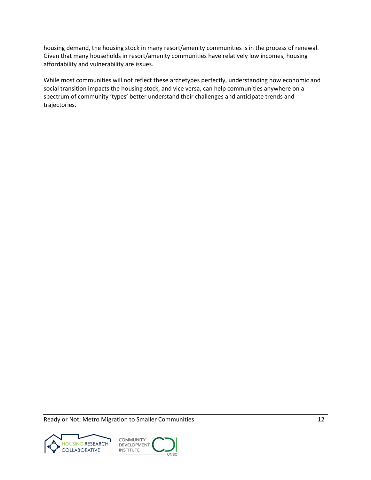housing demand, the housing stock in many resort/amenity communities is in the process of renewal. Given that many households in resort/amenity communities have relatively low incomes, housing affordability and vulnerability are issues.

While most communities will not reflect these archetypes perfectly, understanding how economic and social transition impacts the housing stock, and vice versa, can help communities anywhere on a spectrum of community 'types' better understand their challenges and anticipate trends and trajectories.



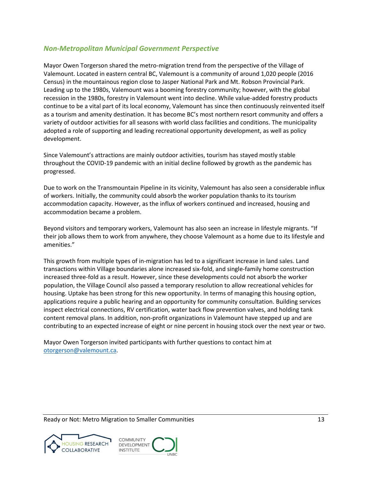# <span id="page-19-0"></span>*Non-Metropolitan Municipal Government Perspective*

Mayor Owen Torgerson shared the metro-migration trend from the perspective of the Village of Valemount. Located in eastern central BC, Valemount is a community of around 1,020 people (2016 Census) in the mountainous region close to Jasper National Park and Mt. Robson Provincial Park. Leading up to the 1980s, Valemount was a booming forestry community; however, with the global recession in the 1980s, forestry in Valemount went into decline. While value-added forestry products continue to be a vital part of its local economy, Valemount has since then continuously reinvented itself as a tourism and amenity destination. It has become BC's most northern resort community and offers a variety of outdoor activities for all seasons with world class facilities and conditions. The municipality adopted a role of supporting and leading recreational opportunity development, as well as policy development.

Since Valemount's attractions are mainly outdoor activities, tourism has stayed mostly stable throughout the COVID-19 pandemic with an initial decline followed by growth as the pandemic has progressed.

Due to work on the Transmountain Pipeline in its vicinity, Valemount has also seen a considerable influx of workers. Initially, the community could absorb the worker population thanks to its tourism accommodation capacity. However, as the influx of workers continued and increased, housing and accommodation became a problem.

Beyond visitors and temporary workers, Valemount has also seen an increase in lifestyle migrants. "If their job allows them to work from anywhere, they choose Valemount as a home due to its lifestyle and amenities."

This growth from multiple types of in-migration has led to a significant increase in land sales. Land transactions within Village boundaries alone increased six-fold, and single-family home construction increased three-fold as a result. However, since these developments could not absorb the worker population, the Village Council also passed a temporary resolution to allow recreational vehicles for housing. Uptake has been strong for this new opportunity. In terms of managing this housing option, applications require a public hearing and an opportunity for community consultation. Building services inspect electrical connections, RV certification, water back flow prevention valves, and holding tank content removal plans. In addition, non-profit organizations in Valemount have stepped up and are contributing to an expected increase of eight or nine percent in housing stock over the next year or two.

Mayor Owen Torgerson invited participants with further questions to contact him at [otorgerson@valemount.ca.](mailto:otorgerson@valemount.ca)



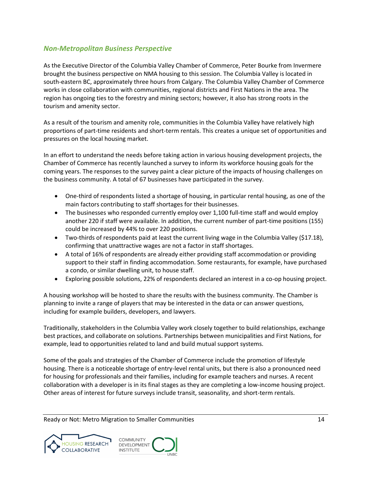# <span id="page-20-0"></span>*Non-Metropolitan Business Perspective*

As the Executive Director of the Columbia Valley Chamber of Commerce, Peter Bourke from Invermere brought the business perspective on NMA housing to this session. The Columbia Valley is located in south-eastern BC, approximately three hours from Calgary. The Columbia Valley Chamber of Commerce works in close collaboration with communities, regional districts and First Nations in the area. The region has ongoing ties to the forestry and mining sectors; however, it also has strong roots in the tourism and amenity sector.

As a result of the tourism and amenity role, communities in the Columbia Valley have relatively high proportions of part-time residents and short-term rentals. This creates a unique set of opportunities and pressures on the local housing market.

In an effort to understand the needs before taking action in various housing development projects, the Chamber of Commerce has recently launched a survey to inform its workforce housing goals for the coming years. The responses to the survey paint a clear picture of the impacts of housing challenges on the business community. A total of 67 businesses have participated in the survey.

- One-third of respondents listed a shortage of housing, in particular rental housing, as one of the main factors contributing to staff shortages for their businesses.
- The businesses who responded currently employ over 1,100 full-time staff and would employ another 220 if staff were available. In addition, the current number of part-time positions (155) could be increased by 44% to over 220 positions.
- Two-thirds of respondents paid at least the current living wage in the Columbia Valley (\$17.18), confirming that unattractive wages are not a factor in staff shortages.
- A total of 16% of respondents are already either providing staff accommodation or providing support to their staff in finding accommodation. Some restaurants, for example, have purchased a condo, or similar dwelling unit, to house staff.
- Exploring possible solutions, 22% of respondents declared an interest in a co-op housing project.

A housing workshop will be hosted to share the results with the business community. The Chamber is planning to invite a range of players that may be interested in the data or can answer questions, including for example builders, developers, and lawyers.

Traditionally, stakeholders in the Columbia Valley work closely together to build relationships, exchange best practices, and collaborate on solutions. Partnerships between municipalities and First Nations, for example, lead to opportunities related to land and build mutual support systems.

Some of the goals and strategies of the Chamber of Commerce include the promotion of lifestyle housing. There is a noticeable shortage of entry-level rental units, but there is also a pronounced need for housing for professionals and their families, including for example teachers and nurses. A recent collaboration with a developer is in its final stages as they are completing a low-income housing project. Other areas of interest for future surveys include transit, seasonality, and short-term rentals.



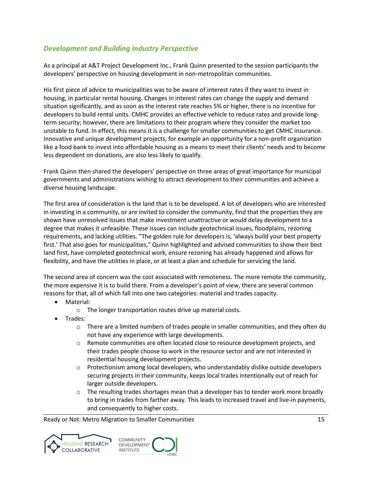# <span id="page-21-0"></span>*Development and Building Industry Perspective*

As a principal at A&T Project Development Inc., Frank Quinn presented to the session participants the developers' perspective on housing development in non-metropolitan communities.

His first piece of advice to municipalities was to be aware of interest rates if they want to invest in housing, in particular rental housing. Changes in interest rates can change the supply and demand situation significantly, and as soon as the interest rate reaches 5% or higher, there is no incentive for developers to build rental units. CMHC provides an effective vehicle to reduce rates and provide longterm security; however, there are limitations to their program where they consider the market too unstable to fund. In effect, this means it is a challenge for smaller communities to get CMHC insurance. Innovative and unique development projects, for example an opportunity for a non-profit organization like a food bank to invest into affordable housing as a means to meet their clients' needs and to become less dependent on donations, are also less likely to qualify.

Frank Quinn then shared the developers' perspective on three areas of great importance for municipal governments and administrations wishing to attract development to their communities and achieve a diverse housing landscape.

The first area of consideration is the land that is to be developed. A lot of developers who are interested in investing in a community, or are invited to consider the community, find that the properties they are shown have unresolved issues that make investment unattractive or would delay development to a degree that makes it unfeasible. These issues can include geotechnical issues, floodplains, rezoning requirements, and lacking utilities. "The golden rule for developers is, 'always build your best property first.' That also goes for municipalities," Quinn highlighted and advised communities to show their best land first, have completed geotechnical work, ensure rezoning has already happened and allows for flexibility, and have the utilities in place, or at least a plan and schedule for servicing the land.

The second area of concern was the cost associated with remoteness. The more remote the community, the more expensive it is to build there. From a developer's point of view, there are several common reasons for that, all of which fall into one two categories: material and trades capacity.

- Material:
	- o The longer transportation routes drive up material costs.
- Trades:
	- $\circ$  There are a limited numbers of trades people in smaller communities, and they often do not have any experience with large developments.
	- $\circ$  Remote communities are often located close to resource development projects, and their trades people choose to work in the resource sector and are not interested in residential housing development projects.
	- $\circ$  Protectionism among local developers, who understandably dislike outside developers securing projects in their community, keeps local trades intentionally out of reach for larger outside developers.
	- $\circ$  The resulting trades shortages mean that a developer has to tender work more broadly to bring in trades from farther away. This leads to increased travel and live-in payments, and consequently to higher costs.

Ready or Not: Metro Migration to Smaller Communities 15 and 15 and 15 and 15 and 15 and 15 and 15 and 15 and 15 and 15 and 15 and 15 and 15 and 15 and 15 and 15 and 15 and 16 and 16 and 16 and 16 and 16 and 16 and 16 and 1



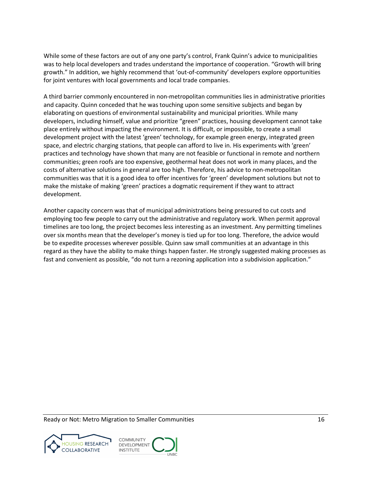While some of these factors are out of any one party's control, Frank Quinn's advice to municipalities was to help local developers and trades understand the importance of cooperation. "Growth will bring growth." In addition, we highly recommend that 'out-of-community' developers explore opportunities for joint ventures with local governments and local trade companies.

A third barrier commonly encountered in non-metropolitan communities lies in administrative priorities and capacity. Quinn conceded that he was touching upon some sensitive subjects and began by elaborating on questions of environmental sustainability and municipal priorities. While many developers, including himself, value and prioritize "green" practices, housing development cannot take place entirely without impacting the environment. It is difficult, or impossible, to create a small development project with the latest 'green' technology, for example green energy, integrated green space, and electric charging stations, that people can afford to live in. His experiments with 'green' practices and technology have shown that many are not feasible or functional in remote and northern communities; green roofs are too expensive, geothermal heat does not work in many places, and the costs of alternative solutions in general are too high. Therefore, his advice to non-metropolitan communities was that it is a good idea to offer incentives for 'green' development solutions but not to make the mistake of making 'green' practices a dogmatic requirement if they want to attract development.

Another capacity concern was that of municipal administrations being pressured to cut costs and employing too few people to carry out the administrative and regulatory work. When permit approval timelines are too long, the project becomes less interesting as an investment. Any permitting timelines over six months mean that the developer's money is tied up for too long. Therefore, the advice would be to expedite processes wherever possible. Quinn saw small communities at an advantage in this regard as they have the ability to make things happen faster. He strongly suggested making processes as fast and convenient as possible, "do not turn a rezoning application into a subdivision application."

Ready or Not: Metro Migration to Smaller Communities 16 and 16 and 16 and 16 and 16 and 16 and 16 and 16 and 16 and 16 and 16 and 16 and 16 and 16 and 16 and 16 and 16 and 16 and 16 and 16 and 16 and 16 and 16 and 16 and 1



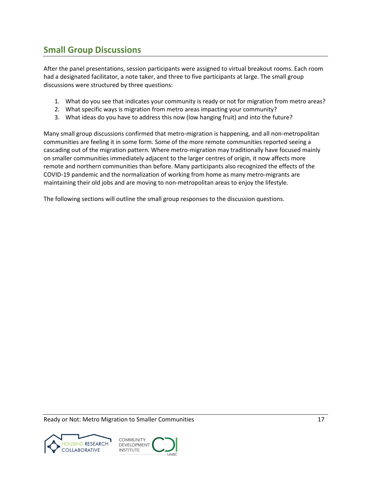# <span id="page-23-0"></span>**Small Group Discussions**

After the panel presentations, session participants were assigned to virtual breakout rooms. Each room had a designated facilitator, a note taker, and three to five participants at large. The small group discussions were structured by three questions:

- 1. What do you see that indicates your community is ready or not for migration from metro areas?
- 2. What specific ways is migration from metro areas impacting your community?
- 3. What ideas do you have to address this now (low hanging fruit) and into the future?

Many small group discussions confirmed that metro-migration is happening, and all non-metropolitan communities are feeling it in some form. Some of the more remote communities reported seeing a cascading out of the migration pattern. Where metro-migration may traditionally have focused mainly on smaller communities immediately adjacent to the larger centres of origin, it now affects more remote and northern communities than before. Many participants also recognized the effects of the COVID-19 pandemic and the normalization of working from home as many metro-migrants are maintaining their old jobs and are moving to non-metropolitan areas to enjoy the lifestyle.

The following sections will outline the small group responses to the discussion questions.



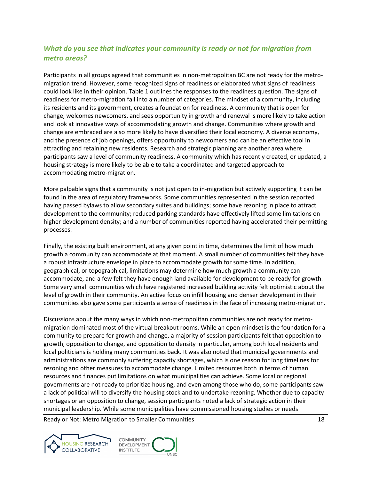# <span id="page-24-0"></span>*What do you see that indicates your community is ready or not for migration from metro areas?*

Participants in all groups agreed that communities in non-metropolitan BC are not ready for the metromigration trend. However, some recognized signs of readiness or elaborated what signs of readiness could look like in their opinion. Table 1 outlines the responses to the readiness question. The signs of readiness for metro-migration fall into a number of categories. The mindset of a community, including its residents and its government, creates a foundation for readiness. A community that is open for change, welcomes newcomers, and sees opportunity in growth and renewal is more likely to take action and look at innovative ways of accommodating growth and change. Communities where growth and change are embraced are also more likely to have diversified their local economy. A diverse economy, and the presence of job openings, offers opportunity to newcomers and can be an effective tool in attracting and retaining new residents. Research and strategic planning are another area where participants saw a level of community readiness. A community which has recently created, or updated, a housing strategy is more likely to be able to take a coordinated and targeted approach to accommodating metro-migration.

More palpable signs that a community is not just open to in-migration but actively supporting it can be found in the area of regulatory frameworks. Some communities represented in the session reported having passed bylaws to allow secondary suites and buildings; some have rezoning in place to attract development to the community; reduced parking standards have effectively lifted some limitations on higher development density; and a number of communities reported having accelerated their permitting processes.

Finally, the existing built environment, at any given point in time, determines the limit of how much growth a community can accommodate at that moment. A small number of communities felt they have a robust infrastructure envelope in place to accommodate growth for some time. In addition, geographical, or topographical, limitations may determine how much growth a community can accommodate, and a few felt they have enough land available for development to be ready for growth. Some very small communities which have registered increased building activity felt optimistic about the level of growth in their community. An active focus on infill housing and denser development in their communities also gave some participants a sense of readiness in the face of increasing metro-migration.

Discussions about the many ways in which non-metropolitan communities are not ready for metromigration dominated most of the virtual breakout rooms. While an open mindset is the foundation for a community to prepare for growth and change, a majority of session participants felt that opposition to growth, opposition to change, and opposition to density in particular, among both local residents and local politicians is holding many communities back. It was also noted that municipal governments and administrations are commonly suffering capacity shortages, which is one reason for long timelines for rezoning and other measures to accommodate change. Limited resources both in terms of human resources and finances put limitations on what municipalities can achieve. Some local or regional governments are not ready to prioritize housing, and even among those who do, some participants saw a lack of political will to diversify the housing stock and to undertake rezoning. Whether due to capacity shortages or an opposition to change, session participants noted a lack of strategic action in their municipal leadership. While some municipalities have commissioned housing studies or needs



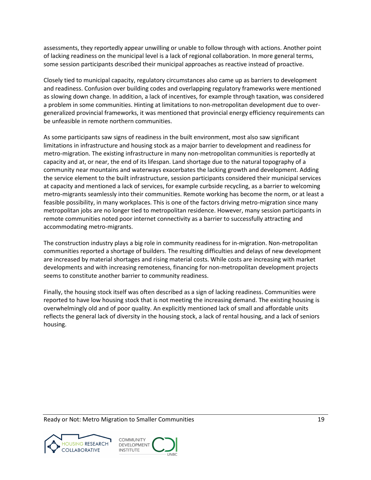assessments, they reportedly appear unwilling or unable to follow through with actions. Another point of lacking readiness on the municipal level is a lack of regional collaboration. In more general terms, some session participants described their municipal approaches as reactive instead of proactive.

Closely tied to municipal capacity, regulatory circumstances also came up as barriers to development and readiness. Confusion over building codes and overlapping regulatory frameworks were mentioned as slowing down change. In addition, a lack of incentives, for example through taxation, was considered a problem in some communities. Hinting at limitations to non-metropolitan development due to overgeneralized provincial frameworks, it was mentioned that provincial energy efficiency requirements can be unfeasible in remote northern communities.

As some participants saw signs of readiness in the built environment, most also saw significant limitations in infrastructure and housing stock as a major barrier to development and readiness for metro-migration. The existing infrastructure in many non-metropolitan communities is reportedly at capacity and at, or near, the end of its lifespan. Land shortage due to the natural topography of a community near mountains and waterways exacerbates the lacking growth and development. Adding the service element to the built infrastructure, session participants considered their municipal services at capacity and mentioned a lack of services, for example curbside recycling, as a barrier to welcoming metro-migrants seamlessly into their communities. Remote working has become the norm, or at least a feasible possibility, in many workplaces. This is one of the factors driving metro-migration since many metropolitan jobs are no longer tied to metropolitan residence. However, many session participants in remote communities noted poor internet connectivity as a barrier to successfully attracting and accommodating metro-migrants.

The construction industry plays a big role in community readiness for in-migration. Non-metropolitan communities reported a shortage of builders. The resulting difficulties and delays of new development are increased by material shortages and rising material costs. While costs are increasing with market developments and with increasing remoteness, financing for non-metropolitan development projects seems to constitute another barrier to community readiness.

Finally, the housing stock itself was often described as a sign of lacking readiness. Communities were reported to have low housing stock that is not meeting the increasing demand. The existing housing is overwhelmingly old and of poor quality. An explicitly mentioned lack of small and affordable units reflects the general lack of diversity in the housing stock, a lack of rental housing, and a lack of seniors housing.

Ready or Not: Metro Migration to Smaller Communities 19 and 19 and 19 and 19 and 19 and 19 and 19 and 19 and 19



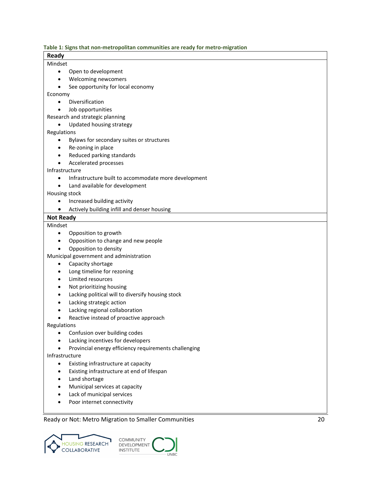<span id="page-26-0"></span>

| Table 1: Signs that non-metropolitan communities are ready for metro-migration |  |  |
|--------------------------------------------------------------------------------|--|--|
|                                                                                |  |  |

| <b>Ready</b>     |                                                       |
|------------------|-------------------------------------------------------|
| Mindset          |                                                       |
| $\bullet$        | Open to development                                   |
| ٠                | Welcoming newcomers                                   |
| $\bullet$        | See opportunity for local economy                     |
| Economy          |                                                       |
| $\bullet$        | Diversification                                       |
| $\bullet$        | Job opportunities                                     |
|                  | Research and strategic planning                       |
| $\bullet$        | Updated housing strategy                              |
| Regulations      |                                                       |
|                  | Bylaws for secondary suites or structures             |
| ٠                | Re-zoning in place                                    |
| ٠                | Reduced parking standards                             |
| $\bullet$        | Accelerated processes                                 |
| Infrastructure   |                                                       |
| $\bullet$        | Infrastructure built to accommodate more development  |
| $\bullet$        | Land available for development                        |
| Housing stock    |                                                       |
| $\bullet$        | Increased building activity                           |
| $\bullet$        | Actively building infill and denser housing           |
| <b>Not Ready</b> |                                                       |
| Mindset          |                                                       |
| $\bullet$        | Opposition to growth                                  |
| ٠                | Opposition to change and new people                   |
| $\bullet$        | Opposition to density                                 |
|                  | Municipal government and administration               |
| $\bullet$        | Capacity shortage                                     |
| $\bullet$        | Long timeline for rezoning                            |
| $\bullet$        | Limited resources                                     |
| $\bullet$        | Not prioritizing housing                              |
| ٠                | Lacking political will to diversify housing stock     |
|                  | Lacking strategic action                              |
|                  | Lacking regional collaboration                        |
| $\bullet$        | Reactive instead of proactive approach                |
| Regulations      |                                                       |
|                  | Confusion over building codes                         |
|                  | Lacking incentives for developers                     |
|                  | Provincial energy efficiency requirements challenging |
| Infrastructure   |                                                       |
| $\bullet$        | Existing infrastructure at capacity                   |
|                  | Existing infrastructure at end of lifespan            |
|                  | Land shortage                                         |
|                  | Municipal services at capacity                        |
|                  | Lack of municipal services                            |
|                  |                                                       |

UNBC

• Poor internet connectivity

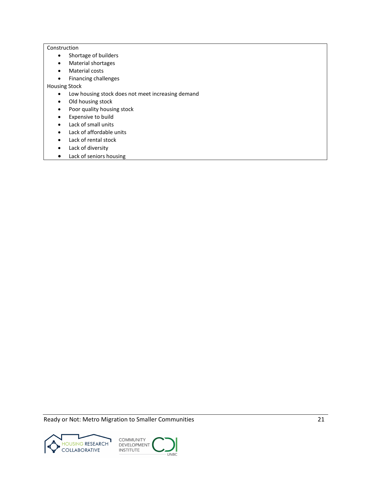#### **Construction**

- Shortage of builders
- Material shortages
- Material costs
- Financing challenges

Housing Stock

- Low housing stock does not meet increasing demand
- Old housing stock
- Poor quality housing stock
- Expensive to build
- Lack of small units
- Lack of affordable units
- Lack of rental stock
- Lack of diversity
- Lack of seniors housing



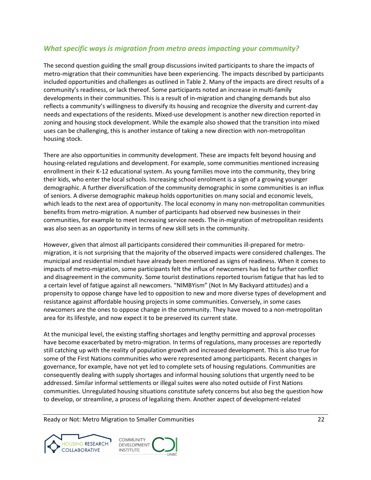# <span id="page-28-0"></span>*What specific ways is migration from metro areas impacting your community?*

The second question guiding the small group discussions invited participants to share the impacts of metro-migration that their communities have been experiencing. The impacts described by participants included opportunities and challenges as outlined in Table 2. Many of the impacts are direct results of a community's readiness, or lack thereof. Some participants noted an increase in multi-family developments in their communities. This is a result of in-migration and changing demands but also reflects a community's willingness to diversify its housing and recognize the diversity and current-day needs and expectations of the residents. Mixed-use development is another new direction reported in zoning and housing stock development. While the example also showed that the transition into mixed uses can be challenging, this is another instance of taking a new direction with non-metropolitan housing stock.

There are also opportunities in community development. These are impacts felt beyond housing and housing-related regulations and development. For example, some communities mentioned increasing enrollment in their K-12 educational system. As young families move into the community, they bring their kids, who enter the local schools. Increasing school enrolment is a sign of a growing younger demographic. A further diversification of the community demographic in some communities is an influx of seniors. A diverse demographic makeup holds opportunities on many social and economic levels, which leads to the next area of opportunity. The local economy in many non-metropolitan communities benefits from metro-migration. A number of participants had observed new businesses in their communities, for example to meet increasing service needs. The in-migration of metropolitan residents was also seen as an opportunity in terms of new skill sets in the community.

However, given that almost all participants considered their communities ill-prepared for metromigration, it is not surprising that the majority of the observed impacts were considered challenges. The municipal and residential mindset have already been mentioned as signs of readiness. When it comes to impacts of metro-migration, some participants felt the influx of newcomers has led to further conflict and disagreement in the community. Some tourist destinations reported tourism fatigue that has led to a certain level of fatigue against all newcomers. "NIMBYism" (Not In My Backyard attitudes) and a propensity to oppose change have led to opposition to new and more diverse types of development and resistance against affordable housing projects in some communities. Conversely, in some cases newcomers are the ones to oppose change in the community. They have moved to a non-metropolitan area for its lifestyle, and now expect it to be preserved its current state.

At the municipal level, the existing staffing shortages and lengthy permitting and approval processes have become exacerbated by metro-migration. In terms of regulations, many processes are reportedly still catching up with the reality of population growth and increased development. This is also true for some of the First Nations communities who were represented among participants. Recent changes in governance, for example, have not yet led to complete sets of housing regulations. Communities are consequently dealing with supply shortages and informal housing solutions that urgently need to be addressed. Similar informal settlements or illegal suites were also noted outside of First Nations communities. Unregulated housing situations constitute safety concerns but also beg the question how to develop, or streamline, a process of legalizing them. Another aspect of development-related



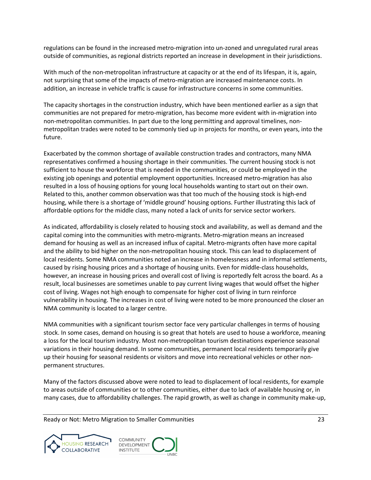regulations can be found in the increased metro-migration into un-zoned and unregulated rural areas outside of communities, as regional districts reported an increase in development in their jurisdictions.

With much of the non-metropolitan infrastructure at capacity or at the end of its lifespan, it is, again, not surprising that some of the impacts of metro-migration are increased maintenance costs. In addition, an increase in vehicle traffic is cause for infrastructure concerns in some communities.

The capacity shortages in the construction industry, which have been mentioned earlier as a sign that communities are not prepared for metro-migration, has become more evident with in-migration into non-metropolitan communities. In part due to the long permitting and approval timelines, nonmetropolitan trades were noted to be commonly tied up in projects for months, or even years, into the future.

Exacerbated by the common shortage of available construction trades and contractors, many NMA representatives confirmed a housing shortage in their communities. The current housing stock is not sufficient to house the workforce that is needed in the communities, or could be employed in the existing job openings and potential employment opportunities. Increased metro-migration has also resulted in a loss of housing options for young local households wanting to start out on their own. Related to this, another common observation was that too much of the housing stock is high-end housing, while there is a shortage of 'middle ground' housing options. Further illustrating this lack of affordable options for the middle class, many noted a lack of units for service sector workers.

As indicated, affordability is closely related to housing stock and availability, as well as demand and the capital coming into the communities with metro-migrants. Metro-migration means an increased demand for housing as well as an increased influx of capital. Metro-migrants often have more capital and the ability to bid higher on the non-metropolitan housing stock. This can lead to displacement of local residents. Some NMA communities noted an increase in homelessness and in informal settlements, caused by rising housing prices and a shortage of housing units. Even for middle-class households, however, an increase in housing prices and overall cost of living is reportedly felt across the board. As a result, local businesses are sometimes unable to pay current living wages that would offset the higher cost of living. Wages not high enough to compensate for higher cost of living in turn reinforce vulnerability in housing. The increases in cost of living were noted to be more pronounced the closer an NMA community is located to a larger centre.

NMA communities with a significant tourism sector face very particular challenges in terms of housing stock. In some cases, demand on housing is so great that hotels are used to house a workforce, meaning a loss for the local tourism industry. Most non-metropolitan tourism destinations experience seasonal variations in their housing demand. In some communities, permanent local residents temporarily give up their housing for seasonal residents or visitors and move into recreational vehicles or other nonpermanent structures.

Many of the factors discussed above were noted to lead to displacement of local residents, for example to areas outside of communities or to other communities, either due to lack of available housing or, in many cases, due to affordability challenges. The rapid growth, as well as change in community make-up,



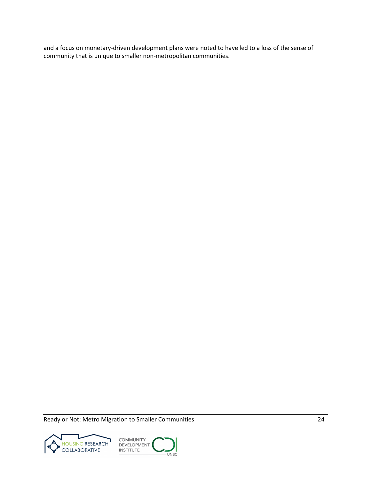and a focus on monetary-driven development plans were noted to have led to a loss of the sense of community that is unique to smaller non-metropolitan communities.



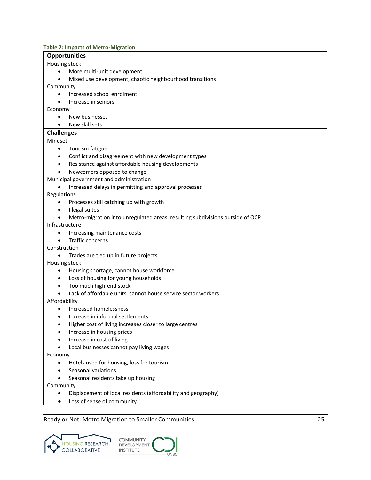#### <span id="page-31-0"></span>**Table 2: Impacts of Metro-Migration**

## **Opportunities**

#### Housing stock

- More multi-unit development
- Mixed use development, chaotic neighbourhood transitions

Community

- Increased school enrolment
- Increase in seniors

#### Economy

- New businesses
- New skill sets

#### **Challenges**

#### Mindset

- Tourism fatigue
- Conflict and disagreement with new development types
- Resistance against affordable housing developments
- Newcomers opposed to change
- Municipal government and administration
	- Increased delays in permitting and approval processes

Regulations

- Processes still catching up with growth
- Illegal suites
- Metro-migration into unregulated areas, resulting subdivisions outside of OCP

Infrastructure

- Increasing maintenance costs
- Traffic concerns

Construction

• Trades are tied up in future projects

Housing stock

- Housing shortage, cannot house workforce
- Loss of housing for young households
- Too much high-end stock
- Lack of affordable units, cannot house service sector workers

Affordability

- Increased homelessness
- Increase in informal settlements
- Higher cost of living increases closer to large centres
- Increase in housing prices
- Increase in cost of living
- Local businesses cannot pay living wages

Economy

- Hotels used for housing, loss for tourism
- Seasonal variations
- Seasonal residents take up housing

Community

- Displacement of local residents (affordability and geography)
- Loss of sense of community



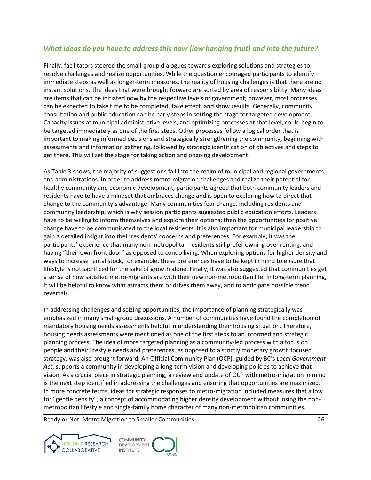# <span id="page-32-0"></span>*What ideas do you have to address this now (low hanging fruit) and into the future?*

Finally, facilitators steered the small-group dialogues towards exploring solutions and strategies to resolve challenges and realize opportunities. While the question encouraged participants to identify immediate steps as well as longer-term measures, the reality of housing challenges is that there are no instant solutions. The ideas that were brought forward are sorted by area of responsibility. Many ideas are items that can be initiated now by the respective levels of government; however, most processes can be expected to take time to be completed, take effect, and show results. Generally, community consultation and public education can be early steps in setting the stage for targeted development. Capacity issues at municipal administrative levels, and optimizing processes at that level, could begin to be targeted immediately as one of the first steps. Other processes follow a logical order that is important to making informed decisions and strategically strengthening the community, beginning with assessments and information gathering, followed by strategic identification of objectives and steps to get there. This will set the stage for taking action and ongoing development.

As Table 3 shows, the majority of suggestions fall into the realm of municipal and regional governments and administrations. In order to address metro-migration challenges and realize their potential for healthy community and economic development, participants agreed that both community leaders and residents have to have a mindset that embraces change and is open to exploring how to direct that change to the community's advantage. Many communities fear change, including residents and community leadership, which is why session participants suggested public education efforts. Leaders have to be willing to inform themselves and explore their options; then the opportunities for positive change have to be communicated to the local residents. It is also important for municipal leadership to gain a detailed insight into their residents' concerns and preferences. For example, it was the participants' experience that many non-metropolitan residents still prefer owning over renting, and having "their own front door" as opposed to condo living. When exploring options for higher density and ways to increase rental stock, for example, these preferences have to be kept in mind to ensure that lifestyle is not sacrificed for the sake of growth alone. Finally, it was also suggested that communities get a sense of how satisfied metro-migrants are with their new non-metropolitan life. In long-term planning, it will be helpful to know what attracts them or drives them away, and to anticipate possible trend reversals.

In addressing challenges and seizing opportunities, the importance of planning strategically was emphasized in many small-group discussions. A number of communities have found the completion of mandatory housing needs assessments helpful in understanding their housing situation. Therefore, housing needs assessments were mentioned as one of the first steps to an informed and strategic planning process. The idea of more targeted planning as a community-led process with a focus on people and their lifestyle needs and preferences, as opposed to a strictly monetary growth focused strategy, was also brought forward. An Official Community Plan (OCP), guided by BC's *Local Government Act*, supports a community in developing a long-term vision and developing policies to achieve that vision. As a crucial piece in strategic planning, a review and update of OCP with metro-migration in mind is the next step identified in addressing the challenges and ensuring that opportunities are maximized. In more concrete terms, ideas for strategic responses to metro-migration included measures that allow for "gentle density", a concept of accommodating higher density development without losing the nonmetropolitan lifestyle and single-family home character of many non-metropolitan communities.



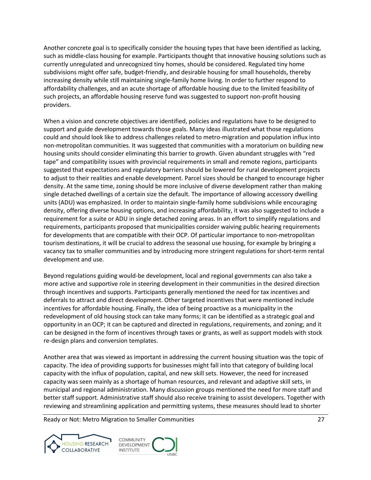Another concrete goal is to specifically consider the housing types that have been identified as lacking, such as middle-class housing for example. Participants thought that innovative housing solutions such as currently unregulated and unrecognized tiny homes, should be considered. Regulated tiny home subdivisions might offer safe, budget-friendly, and desirable housing for small households, thereby increasing density while still maintaining single-family home living. In order to further respond to affordability challenges, and an acute shortage of affordable housing due to the limited feasibility of such projects, an affordable housing reserve fund was suggested to support non-profit housing providers.

When a vision and concrete objectives are identified, policies and regulations have to be designed to support and guide development towards those goals. Many ideas illustrated what those regulations could and should look like to address challenges related to metro-migration and population influx into non-metropolitan communities. It was suggested that communities with a moratorium on building new housing units should consider eliminating this barrier to growth. Given abundant struggles with "red tape" and compatibility issues with provincial requirements in small and remote regions, participants suggested that expectations and regulatory barriers should be lowered for rural development projects to adjust to their realities and enable development. Parcel sizes should be changed to encourage higher density. At the same time, zoning should be more inclusive of diverse development rather than making single detached dwellings of a certain size the default. The importance of allowing accessory dwelling units (ADU) was emphasized. In order to maintain single-family home subdivisions while encouraging density, offering diverse housing options, and increasing affordability, it was also suggested to include a requirement for a suite or ADU in single detached zoning areas. In an effort to simplify regulations and requirements, participants proposed that municipalities consider waiving public hearing requirements for developments that are compatible with their OCP. Of particular importance to non-metropolitan tourism destinations, it will be crucial to address the seasonal use housing, for example by bringing a vacancy tax to smaller communities and by introducing more stringent regulations for short-term rental development and use.

Beyond regulations guiding would-be development, local and regional governments can also take a more active and supportive role in steering development in their communities in the desired direction through incentives and supports. Participants generally mentioned the need for tax incentives and deferrals to attract and direct development. Other targeted incentives that were mentioned include incentives for affordable housing. Finally, the idea of being proactive as a municipality in the redevelopment of old housing stock can take many forms; it can be identified as a strategic goal and opportunity in an OCP; it can be captured and directed in regulations, requirements, and zoning; and it can be designed in the form of incentives through taxes or grants, as well as support models with stock re-design plans and conversion templates.

Another area that was viewed as important in addressing the current housing situation was the topic of capacity. The idea of providing supports for businesses might fall into that category of building local capacity with the influx of population, capital, and new skill sets. However, the need for increased capacity was seen mainly as a shortage of human resources, and relevant and adaptive skill sets, in municipal and regional administration. Many discussion groups mentioned the need for more staff and better staff support. Administrative staff should also receive training to assist developers. Together with reviewing and streamlining application and permitting systems, these measures should lead to shorter



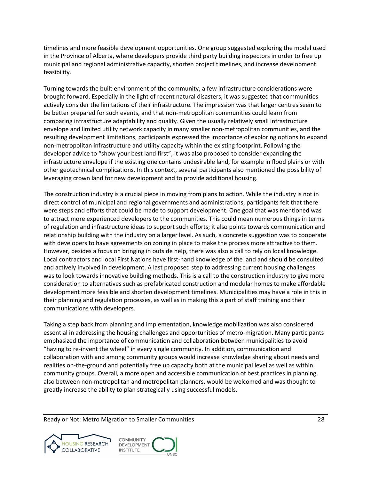timelines and more feasible development opportunities. One group suggested exploring the model used in the Province of Alberta, where developers provide third party building inspectors in order to free up municipal and regional administrative capacity, shorten project timelines, and increase development feasibility.

Turning towards the built environment of the community, a few infrastructure considerations were brought forward. Especially in the light of recent natural disasters, it was suggested that communities actively consider the limitations of their infrastructure. The impression was that larger centres seem to be better prepared for such events, and that non-metropolitan communities could learn from comparing infrastructure adaptability and quality. Given the usually relatively small infrastructure envelope and limited utility network capacity in many smaller non-metropolitan communities, and the resulting development limitations, participants expressed the importance of exploring options to expand non-metropolitan infrastructure and utility capacity within the existing footprint. Following the developer advice to "show your best land first", it was also proposed to consider expanding the infrastructure envelope if the existing one contains undesirable land, for example in flood plains or with other geotechnical complications. In this context, several participants also mentioned the possibility of leveraging crown land for new development and to provide additional housing.

The construction industry is a crucial piece in moving from plans to action. While the industry is not in direct control of municipal and regional governments and administrations, participants felt that there were steps and efforts that could be made to support development. One goal that was mentioned was to attract more experienced developers to the communities. This could mean numerous things in terms of regulation and infrastructure ideas to support such efforts; it also points towards communication and relationship building with the industry on a larger level. As such, a concrete suggestion was to cooperate with developers to have agreements on zoning in place to make the process more attractive to them. However, besides a focus on bringing in outside help, there was also a call to rely on local knowledge. Local contractors and local First Nations have first-hand knowledge of the land and should be consulted and actively involved in development. A last proposed step to addressing current housing challenges was to look towards innovative building methods. This is a call to the construction industry to give more consideration to alternatives such as prefabricated construction and modular homes to make affordable development more feasible and shorten development timelines. Municipalities may have a role in this in their planning and regulation processes, as well as in making this a part of staff training and their communications with developers.

Taking a step back from planning and implementation, knowledge mobilization was also considered essential in addressing the housing challenges and opportunities of metro-migration. Many participants emphasized the importance of communication and collaboration between municipalities to avoid "having to re-invent the wheel" in every single community. In addition, communication and collaboration with and among community groups would increase knowledge sharing about needs and realities on-the-ground and potentially free up capacity both at the municipal level as well as within community groups. Overall, a more open and accessible communication of best practices in planning, also between non-metropolitan and metropolitan planners, would be welcomed and was thought to greatly increase the ability to plan strategically using successful models.



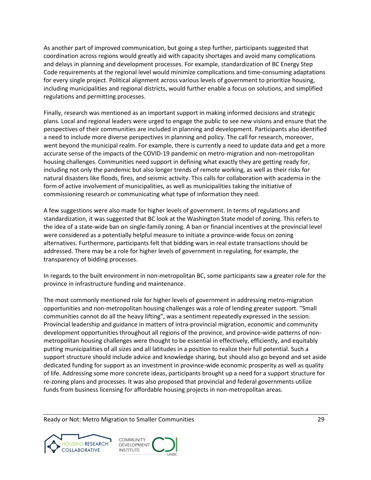As another part of improved communication, but going a step further, participants suggested that coordination across regions would greatly aid with capacity shortages and avoid many complications and delays in planning and development processes. For example, standardization of BC Energy Step Code requirements at the regional level would minimize complications and time-consuming adaptations for every single project. Political alignment across various levels of government to prioritize housing, including municipalities and regional districts, would further enable a focus on solutions, and simplified regulations and permitting processes.

Finally, research was mentioned as an important support in making informed decisions and strategic plans. Local and regional leaders were urged to engage the public to see new visions and ensure that the perspectives of their communities are included in planning and development. Participants also identified a need to include more diverse perspectives in planning and policy. The call for research, moreover, went beyond the municipal realm. For example, there is currently a need to update data and get a more accurate sense of the impacts of the COVID-19 pandemic on metro-migration and non-metropolitan housing challenges. Communities need support in defining what exactly they are getting ready for, including not only the pandemic but also longer trends of remote working, as well as their risks for natural disasters like floods, fires, and seismic activity. This calls for collaboration with academia in the form of active involvement of municipalities, as well as municipalities taking the initiative of commissioning research or communicating what type of information they need.

A few suggestions were also made for higher levels of government. In terms of regulations and standardization, it was suggested that BC look at the Washington State model of zoning. This refers to the idea of a state-wide ban on single-family zoning. A ban or financial incentives at the provincial level were considered as a potentially helpful measure to initiate a province-wide focus on zoning alternatives. Furthermore, participants felt that bidding wars in real estate transactions should be addressed. There may be a role for higher levels of government in regulating, for example, the transparency of bidding processes.

In regards to the built environment in non-metropolitan BC, some participants saw a greater role for the province in infrastructure funding and maintenance.

The most commonly mentioned role for higher levels of government in addressing metro-migration opportunities and non-metropolitan housing challenges was a role of lending greater support. "Small communities cannot do all the heavy lifting", was a sentiment repeatedly expressed in the session. Provincial leadership and guidance in matters of intra-provincial migration, economic and community development opportunities throughout all regions of the province, and province-wide patterns of nonmetropolitan housing challenges were thought to be essential in effectively, efficiently, and equitably putting municipalities of all sizes and all latitudes in a position to realize their full potential. Such a support structure should include advice and knowledge sharing, but should also go beyond and set aside dedicated funding for support as an investment in province-wide economic prosperity as well as quality of life. Addressing some more concrete ideas, participants brought up a need for a support structure for re-zoning plans and processes. It was also proposed that provincial and federal governments utilize funds from business licensing for affordable housing projects in non-metropolitan areas.



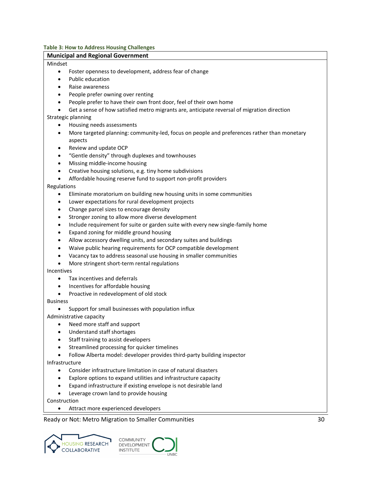<span id="page-36-0"></span>**Table 3: How to Address Housing Challenges**

## **Municipal and Regional Government** Mindset • Foster openness to development, address fear of change • Public education • Raise awareness • People prefer owning over renting • People prefer to have their own front door, feel of their own home • Get a sense of how satisfied metro migrants are, anticipate reversal of migration direction Strategic planning • Housing needs assessments • More targeted planning: community-led, focus on people and preferences rather than monetary aspects • Review and update OCP • "Gentle density" through duplexes and townhouses • Missing middle-income housing • Creative housing solutions, e.g. tiny home subdivisions • Affordable housing reserve fund to support non-profit providers Regulations • Eliminate moratorium on building new housing units in some communities Lower expectations for rural development projects • Change parcel sizes to encourage density Stronger zoning to allow more diverse development • Include requirement for suite or garden suite with every new single-family home • Expand zoning for middle ground housing • Allow accessory dwelling units, and secondary suites and buildings • Waive public hearing requirements for OCP compatible development • Vacancy tax to address seasonal use housing in smaller communities • More stringent short-term rental regulations Incentives • Tax incentives and deferrals • Incentives for affordable housing • Proactive in redevelopment of old stock Business • Support for small businesses with population influx Administrative capacity • Need more staff and support • Understand staff shortages • Staff training to assist developers Streamlined processing for quicker timelines • Follow Alberta model: developer provides third-party building inspector Infrastructure • Consider infrastructure limitation in case of natural disasters • Explore options to expand utilities and infrastructure capacity • Expand infrastructure if existing envelope is not desirable land Leverage crown land to provide housing Construction

• Attract more experienced developers

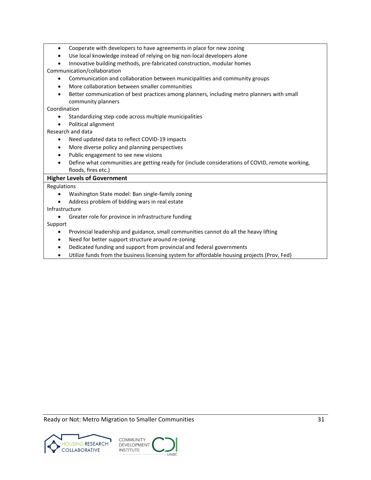- Cooperate with developers to have agreements in place for new zoning
- Use local knowledge instead of relying on big non-local developers alone
- Innovative building methods, pre-fabricated construction, modular homes Communication/collaboration
	- Communication and collaboration between municipalities and community groups
	- More collaboration between smaller communities
	- Better communication of best practices among planners, including metro planners with small community planners

Coordination

- Standardizing step-code across multiple municipalities
- Political alignment

Research and data

- Need updated data to reflect COVID-19 impacts
- More diverse policy and planning perspectives
- Public engagement to see new visions
- Define what communities are getting ready for (include considerations of COVID, remote working, floods, fires etc.)

#### **Higher Levels of Government**

Regulations

- Washington State model: Ban single-family zoning
- Address problem of bidding wars in real estate

Infrastructure

• Greater role for province in infrastructure funding

Support

- Provincial leadership and guidance, small communities cannot do all the heavy lifting
- Need for better support structure around re-zoning
- Dedicated funding and support from provincial and federal governments
- Utilize funds from the business licensing system for affordable housing projects (Prov, Fed)

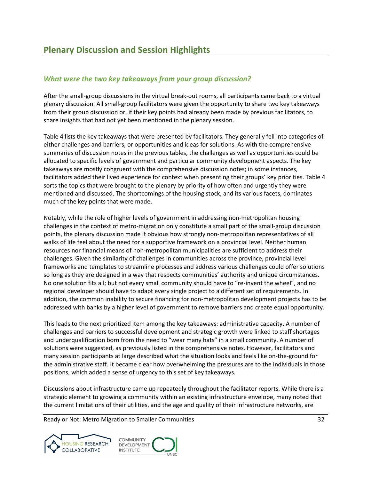# <span id="page-38-1"></span><span id="page-38-0"></span>*What were the two key takeaways from your group discussion?*

After the small-group discussions in the virtual break-out rooms, all participants came back to a virtual plenary discussion. All small-group facilitators were given the opportunity to share two key takeaways from their group discussion or, if their key points had already been made by previous facilitators, to share insights that had not yet been mentioned in the plenary session.

Table 4 lists the key takeaways that were presented by facilitators. They generally fell into categories of either challenges and barriers, or opportunities and ideas for solutions. As with the comprehensive summaries of discussion notes in the previous tables, the challenges as well as opportunities could be allocated to specific levels of government and particular community development aspects. The key takeaways are mostly congruent with the comprehensive discussion notes; in some instances, facilitators added their lived experience for context when presenting their groups' key priorities. Table 4 sorts the topics that were brought to the plenary by priority of how often and urgently they were mentioned and discussed. The shortcomings of the housing stock, and its various facets, dominates much of the key points that were made.

Notably, while the role of higher levels of government in addressing non-metropolitan housing challenges in the context of metro-migration only constitute a small part of the small-group discussion points, the plenary discussion made it obvious how strongly non-metropolitan representatives of all walks of life feel about the need for a supportive framework on a provincial level. Neither human resources nor financial means of non-metropolitan municipalities are sufficient to address their challenges. Given the similarity of challenges in communities across the province, provincial level frameworks and templates to streamline processes and address various challenges could offer solutions so long as they are designed in a way that respects communities' authority and unique circumstances. No one solution fits all; but not every small community should have to "re-invent the wheel", and no regional developer should have to adapt every single project to a different set of requirements. In addition, the common inability to secure financing for non-metropolitan development projects has to be addressed with banks by a higher level of government to remove barriers and create equal opportunity.

This leads to the next prioritized item among the key takeaways: administrative capacity. A number of challenges and barriers to successful development and strategic growth were linked to staff shortages and underqualification born from the need to "wear many hats" in a small community. A number of solutions were suggested, as previously listed in the comprehensive notes. However, facilitators and many session participants at large described what the situation looks and feels like on-the-ground for the administrative staff. It became clear how overwhelming the pressures are to the individuals in those positions, which added a sense of urgency to this set of key takeaways.

Discussions about infrastructure came up repeatedly throughout the facilitator reports. While there is a strategic element to growing a community within an existing infrastructure envelope, many noted that the current limitations of their utilities, and the age and quality of their infrastructure networks, are



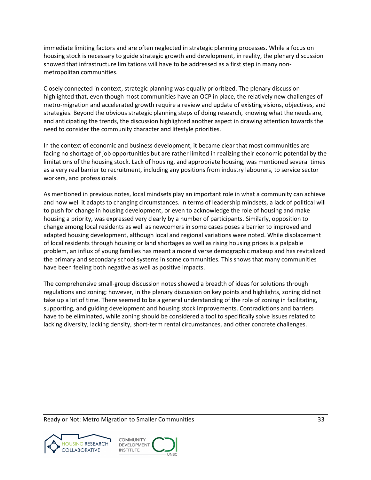immediate limiting factors and are often neglected in strategic planning processes. While a focus on housing stock is necessary to guide strategic growth and development, in reality, the plenary discussion showed that infrastructure limitations will have to be addressed as a first step in many nonmetropolitan communities.

Closely connected in context, strategic planning was equally prioritized. The plenary discussion highlighted that, even though most communities have an OCP in place, the relatively new challenges of metro-migration and accelerated growth require a review and update of existing visions, objectives, and strategies. Beyond the obvious strategic planning steps of doing research, knowing what the needs are, and anticipating the trends, the discussion highlighted another aspect in drawing attention towards the need to consider the community character and lifestyle priorities.

In the context of economic and business development, it became clear that most communities are facing no shortage of job opportunities but are rather limited in realizing their economic potential by the limitations of the housing stock. Lack of housing, and appropriate housing, was mentioned several times as a very real barrier to recruitment, including any positions from industry labourers, to service sector workers, and professionals.

As mentioned in previous notes, local mindsets play an important role in what a community can achieve and how well it adapts to changing circumstances. In terms of leadership mindsets, a lack of political will to push for change in housing development, or even to acknowledge the role of housing and make housing a priority, was expressed very clearly by a number of participants. Similarly, opposition to change among local residents as well as newcomers in some cases poses a barrier to improved and adapted housing development, although local and regional variations were noted. While displacement of local residents through housing or land shortages as well as rising housing prices is a palpable problem, an influx of young families has meant a more diverse demographic makeup and has revitalized the primary and secondary school systems in some communities. This shows that many communities have been feeling both negative as well as positive impacts.

The comprehensive small-group discussion notes showed a breadth of ideas for solutions through regulations and zoning; however, in the plenary discussion on key points and highlights, zoning did not take up a lot of time. There seemed to be a general understanding of the role of zoning in facilitating, supporting, and guiding development and housing stock improvements. Contradictions and barriers have to be eliminated, while zoning should be considered a tool to specifically solve issues related to lacking diversity, lacking density, short-term rental circumstances, and other concrete challenges.

Ready or Not: Metro Migration to Smaller Communities **33** and the state of the state of the state and the state of the state of the state of the state of the state of the state of the state of the state of the state of the



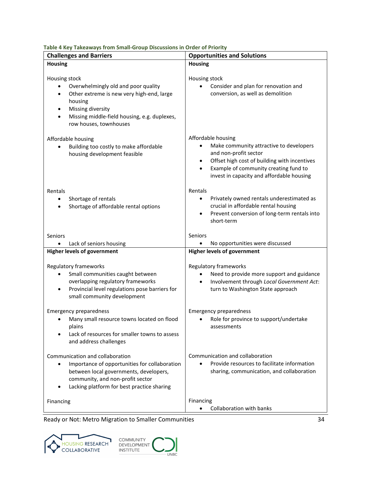| rable 4 Key Takeaways from Small-Group Discussions in Order of Priority                                                                                                                                                        |                                                                                                                                                                                                                              |  |  |
|--------------------------------------------------------------------------------------------------------------------------------------------------------------------------------------------------------------------------------|------------------------------------------------------------------------------------------------------------------------------------------------------------------------------------------------------------------------------|--|--|
| <b>Challenges and Barriers</b>                                                                                                                                                                                                 | <b>Opportunities and Solutions</b>                                                                                                                                                                                           |  |  |
| <b>Housing</b>                                                                                                                                                                                                                 | <b>Housing</b>                                                                                                                                                                                                               |  |  |
| Housing stock<br>Overwhelmingly old and poor quality<br>Other extreme is new very high-end, large<br>$\bullet$<br>housing<br>Missing diversity<br>Missing middle-field housing, e.g. duplexes,<br>row houses, townhouses       | Housing stock<br>Consider and plan for renovation and<br>conversion, as well as demolition                                                                                                                                   |  |  |
| Affordable housing<br>Building too costly to make affordable<br>housing development feasible                                                                                                                                   | Affordable housing<br>Make community attractive to developers<br>and non-profit sector<br>Offset high cost of building with incentives<br>Example of community creating fund to<br>invest in capacity and affordable housing |  |  |
| Rentals<br>Shortage of rentals<br>$\bullet$<br>Shortage of affordable rental options<br>$\bullet$                                                                                                                              | Rentals<br>Privately owned rentals underestimated as<br>٠<br>crucial in affordable rental housing<br>Prevent conversion of long-term rentals into<br>short-term                                                              |  |  |
| Seniors                                                                                                                                                                                                                        | Seniors                                                                                                                                                                                                                      |  |  |
| Lack of seniors housing                                                                                                                                                                                                        | No opportunities were discussed                                                                                                                                                                                              |  |  |
| <b>Higher levels of government</b>                                                                                                                                                                                             | <b>Higher levels of government</b>                                                                                                                                                                                           |  |  |
| Regulatory frameworks<br>Small communities caught between<br>$\bullet$<br>overlapping regulatory frameworks<br>Provincial level regulations pose barriers for<br>$\bullet$<br>small community development                      | Regulatory frameworks<br>Need to provide more support and guidance<br>Involvement through Local Government Act:<br>turn to Washington State approach                                                                         |  |  |
| <b>Emergency preparedness</b><br>• Many small resource towns located on flood<br>plains<br>Lack of resources for smaller towns to assess<br>and address challenges                                                             | <b>Emergency preparedness</b><br>• Role for province to support/undertake<br>assessments                                                                                                                                     |  |  |
| Communication and collaboration<br>Importance of opportunities for collaboration<br>$\bullet$<br>between local governments, developers,<br>community, and non-profit sector<br>Lacking platform for best practice sharing<br>٠ | Communication and collaboration<br>Provide resources to facilitate information<br>$\bullet$<br>sharing, communication, and collaboration                                                                                     |  |  |
| Financing                                                                                                                                                                                                                      | Financing<br>Collaboration with banks                                                                                                                                                                                        |  |  |

<span id="page-40-0"></span>**Table 4 Key Takeaways from Small-Group Discussions in Order of Priority**

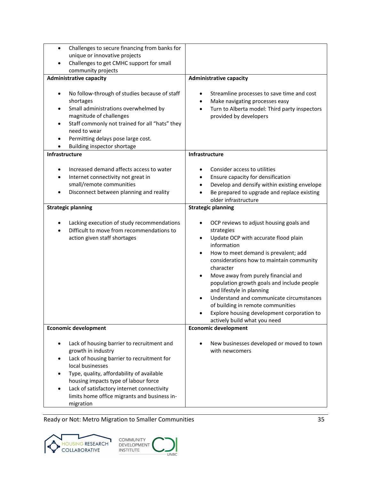| Challenges to secure financing from banks for<br>٠<br>unique or innovative projects<br>Challenges to get CMHC support for small<br>community projects<br><b>Administrative capacity</b><br>No follow-through of studies because of staff<br>shortages<br>Small administrations overwhelmed by<br>magnitude of challenges<br>Staff commonly not trained for all "hats" they<br>٠<br>need to wear<br>Permitting delays pose large cost. | <b>Administrative capacity</b><br>Streamline processes to save time and cost<br>٠<br>Make navigating processes easy<br>$\bullet$<br>Turn to Alberta model: Third party inspectors<br>$\bullet$<br>provided by developers                                                                                                                                                                                                                                                                                                                                           |
|---------------------------------------------------------------------------------------------------------------------------------------------------------------------------------------------------------------------------------------------------------------------------------------------------------------------------------------------------------------------------------------------------------------------------------------|--------------------------------------------------------------------------------------------------------------------------------------------------------------------------------------------------------------------------------------------------------------------------------------------------------------------------------------------------------------------------------------------------------------------------------------------------------------------------------------------------------------------------------------------------------------------|
| Building inspector shortage<br>Infrastructure                                                                                                                                                                                                                                                                                                                                                                                         | Infrastructure                                                                                                                                                                                                                                                                                                                                                                                                                                                                                                                                                     |
| Increased demand affects access to water<br>Internet connectivity not great in<br>small/remote communities<br>Disconnect between planning and reality<br><b>Strategic planning</b><br>Lacking execution of study recommendations<br>Difficult to move from recommendations to<br>action given staff shortages                                                                                                                         | Consider access to utilities<br>Ensure capacity for densification<br>$\bullet$<br>Develop and densify within existing envelope<br>Be prepared to upgrade and replace existing<br>older infrastructure<br><b>Strategic planning</b><br>OCP reviews to adjust housing goals and<br>$\bullet$<br>strategies<br>Update OCP with accurate flood plain<br>$\bullet$<br>information<br>How to meet demand is prevalent; add<br>considerations how to maintain community<br>character<br>Move away from purely financial and<br>population growth goals and include people |
|                                                                                                                                                                                                                                                                                                                                                                                                                                       | and lifestyle in planning<br>Understand and communicate circumstances<br>of building in remote communities<br>Explore housing development corporation to<br>actively build what you need                                                                                                                                                                                                                                                                                                                                                                           |
| <b>Economic development</b>                                                                                                                                                                                                                                                                                                                                                                                                           | <b>Economic development</b>                                                                                                                                                                                                                                                                                                                                                                                                                                                                                                                                        |
| Lack of housing barrier to recruitment and<br>growth in industry<br>Lack of housing barrier to recruitment for<br>local businesses<br>Type, quality, affordability of available<br>housing impacts type of labour force<br>Lack of satisfactory internet connectivity<br>limits home office migrants and business in-<br>migration                                                                                                    | New businesses developed or moved to town<br>with newcomers                                                                                                                                                                                                                                                                                                                                                                                                                                                                                                        |



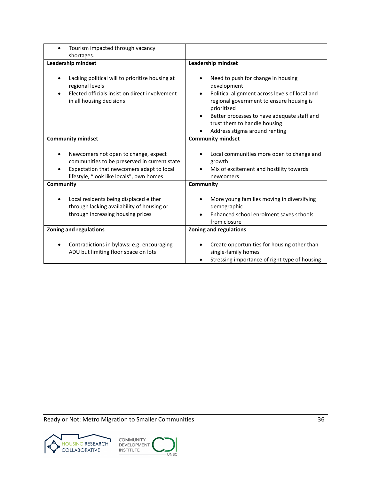| Tourism impacted through vacancy<br>$\bullet$<br>shortages.                                                                                                                        |                                                                                                                                                                                                                                                                                             |
|------------------------------------------------------------------------------------------------------------------------------------------------------------------------------------|---------------------------------------------------------------------------------------------------------------------------------------------------------------------------------------------------------------------------------------------------------------------------------------------|
| Leadership mindset                                                                                                                                                                 | Leadership mindset                                                                                                                                                                                                                                                                          |
| Lacking political will to prioritize housing at<br>regional levels<br>Elected officials insist on direct involvement<br>in all housing decisions                                   | Need to push for change in housing<br>development<br>Political alignment across levels of local and<br>regional government to ensure housing is<br>prioritized<br>Better processes to have adequate staff and<br>$\bullet$<br>trust them to handle housing<br>Address stigma around renting |
| <b>Community mindset</b>                                                                                                                                                           | <b>Community mindset</b>                                                                                                                                                                                                                                                                    |
| Newcomers not open to change, expect<br>communities to be preserved in current state<br>Expectation that newcomers adapt to local<br>٠<br>lifestyle, "look like locals", own homes | Local communities more open to change and<br>growth<br>Mix of excitement and hostility towards<br>newcomers                                                                                                                                                                                 |
| Community                                                                                                                                                                          | Community                                                                                                                                                                                                                                                                                   |
| Local residents being displaced either<br>through lacking availability of housing or<br>through increasing housing prices                                                          | More young families moving in diversifying<br>demographic<br>Enhanced school enrolment saves schools<br>from closure                                                                                                                                                                        |
| <b>Zoning and regulations</b>                                                                                                                                                      | <b>Zoning and regulations</b>                                                                                                                                                                                                                                                               |
| Contradictions in bylaws: e.g. encouraging<br>ADU but limiting floor space on lots                                                                                                 | Create opportunities for housing other than<br>single-family homes<br>Stressing importance of right type of housing                                                                                                                                                                         |

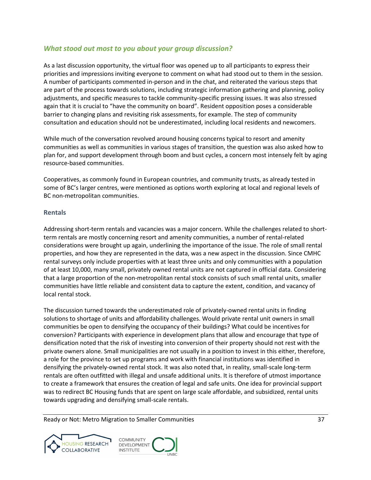# <span id="page-43-0"></span>*What stood out most to you about your group discussion?*

As a last discussion opportunity, the virtual floor was opened up to all participants to express their priorities and impressions inviting everyone to comment on what had stood out to them in the session. A number of participants commented in-person and in the chat, and reiterated the various steps that are part of the process towards solutions, including strategic information gathering and planning, policy adjustments, and specific measures to tackle community-specific pressing issues. It was also stressed again that it is crucial to "have the community on board". Resident opposition poses a considerable barrier to changing plans and revisiting risk assessments, for example. The step of community consultation and education should not be underestimated, including local residents and newcomers.

While much of the conversation revolved around housing concerns typical to resort and amenity communities as well as communities in various stages of transition, the question was also asked how to plan for, and support development through boom and bust cycles, a concern most intensely felt by aging resource-based communities.

Cooperatives, as commonly found in European countries, and community trusts, as already tested in some of BC's larger centres, were mentioned as options worth exploring at local and regional levels of BC non-metropolitan communities.

## **Rentals**

Addressing short-term rentals and vacancies was a major concern. While the challenges related to shortterm rentals are mostly concerning resort and amenity communities, a number of rental-related considerations were brought up again, underlining the importance of the issue. The role of small rental properties, and how they are represented in the data, was a new aspect in the discussion. Since CMHC rental surveys only include properties with at least three units and only communities with a population of at least 10,000, many small, privately owned rental units are not captured in official data. Considering that a large proportion of the non-metropolitan rental stock consists of such small rental units, smaller communities have little reliable and consistent data to capture the extent, condition, and vacancy of local rental stock.

The discussion turned towards the underestimated role of privately-owned rental units in finding solutions to shortage of units and affordability challenges. Would private rental unit owners in small communities be open to densifying the occupancy of their buildings? What could be incentives for conversion? Participants with experience in development plans that allow and encourage that type of densification noted that the risk of investing into conversion of their property should not rest with the private owners alone. Small municipalities are not usually in a position to invest in this either, therefore, a role for the province to set up programs and work with financial institutions was identified in densifying the privately-owned rental stock. It was also noted that, in reality, small-scale long-term rentals are often outfitted with illegal and unsafe additional units. It is therefore of utmost importance to create a framework that ensures the creation of legal and safe units. One idea for provincial support was to redirect BC Housing funds that are spent on large scale affordable, and subsidized, rental units towards upgrading and densifying small-scale rentals.